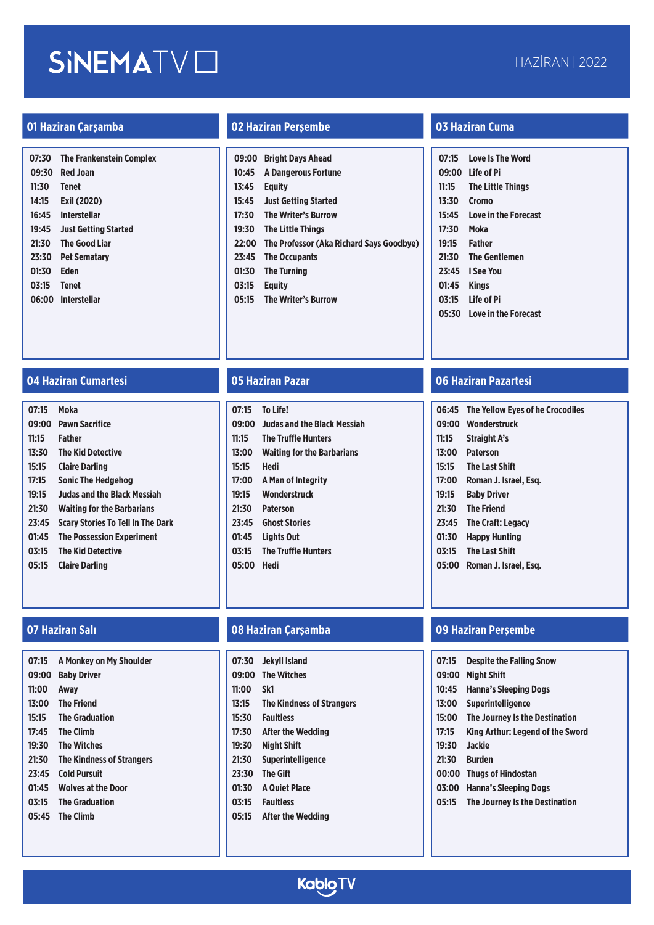| 07:30 | <b>The Frankenstein Complex</b> |
|-------|---------------------------------|
| 09:30 | <b>Red Joan</b>                 |
| 11:30 | <b>Tenet</b>                    |
| 14:15 | Exil (2020)                     |
| 16:45 | Interstellar                    |
| 19:45 | <b>Just Getting Started</b>     |
| 21:30 | <b>The Good Liar</b>            |
| 23:30 | <b>Pet Sematarv</b>             |
| 01:30 | Eden                            |
| 03:15 | <b>Tenet</b>                    |
| 06:00 | <b>Interstellar</b>             |
|       |                                 |

### **01 Haziran Çarşamba 02 Haziran Perşembe 03 Haziran Cuma**

| 09:00 | <b>Bright Days Ahead</b>                 |
|-------|------------------------------------------|
| 10:45 | <b>A Dangerous Fortune</b>               |
| 13:45 | <b>Equity</b>                            |
| 15:45 | <b>Just Getting Started</b>              |
| 17:30 | <b>The Writer's Burrow</b>               |
| 19:30 | <b>The Little Things</b>                 |
| 22:00 | The Professor (Aka Richard Says Goodbye) |
| 23:45 | <b>The Occupants</b>                     |
| 01:30 | <b>The Turning</b>                       |
| 03:15 | Eauitv                                   |
| 05:15 | <b>The Writer's Burrow</b>               |
|       |                                          |

| 07:15 | <b>Love Is The Word</b>     |
|-------|-----------------------------|
|       | 09:00 Life of Pi            |
| 11:15 | <b>The Little Things</b>    |
| 13:30 | <b>Cromo</b>                |
| 15:45 | <b>Love in the Forecast</b> |
| 17:30 | Moka                        |
| 19:15 | <b>Father</b>               |
| 21:30 | <b>The Gentlemen</b>        |
| 23:45 | I See You                   |
| 01:45 | Kings                       |
| 03:15 | Life of Pi                  |
| 05:30 | <b>Love in the Forecast</b> |
|       |                             |

### **04 Haziran Cumartesi 05 Haziran Pazar 06 Haziran Pazartesi**

| 07:15 | Moka                                     |
|-------|------------------------------------------|
| 09:00 | <b>Pawn Sacrifice</b>                    |
| 11:15 | Father                                   |
| 13:30 | <b>The Kid Detective</b>                 |
| 15:15 | <b>Claire Darling</b>                    |
| 17:15 | Sonic The Hedgehog                       |
| 19:15 | <b>Judas and the Black Messiah</b>       |
| 21:30 | <b>Waiting for the Barbarians</b>        |
| 23:45 | <b>Scary Stories To Tell In The Dark</b> |
| 01:45 | <b>The Possession Experiment</b>         |
| 03:15 | The Kid Detective                        |
| 05:15 | <b>Claire Darling</b>                    |
|       |                                          |

| 07:15 | A Monkey on My Shoulder          |
|-------|----------------------------------|
| 09:00 | <b>Baby Driver</b>               |
| 11:00 | Away                             |
| 13:00 | <b>The Friend</b>                |
| 15:15 | <b>The Graduation</b>            |
| 17:45 | The Climb                        |
| 19:30 | <b>The Witches</b>               |
| 21:30 | <b>The Kindness of Strangers</b> |
| 23:45 | <b>Cold Pursuit</b>              |
| 01:45 | <b>Wolves at the Door</b>        |
| 03:15 | <b>The Graduation</b>            |
|       | 05:45 The Climb                  |
|       |                                  |

|            | 07:15 To Life!                    |
|------------|-----------------------------------|
|            | 09:00 Judas and the Black Messiah |
| 11:15      | <b>The Truffle Hunters</b>        |
|            | 13:00 Waiting for the Barbarians  |
| 15:15 Hedi |                                   |
|            | 17:00 A Man of Integrity          |
| 19:15      | Wonderstruck                      |
| 21:30      | <b>Paterson</b>                   |
|            | 23:45 Ghost Stories               |
| 01:45      | Lights Out                        |
| 03:15      | <b>The Truffle Hunters</b>        |
| 05:00      | Hedi                              |
|            |                                   |

### **07 Haziran Salı 08 Haziran Çarşamba 09 Haziran Perşembe**

**07:30 Jekyll Island 09:00 The Witches 11:00 Sk1 13:15 The Kindness of Strangers 15:30 Faultless 17:30 After the Wedding 19:30 Night Shift 21:30 Superintelligence 23:30 The Gift 01:30 A Quiet Place 03:15 Faultless 05:15 After the Wedding**

|       | 06:45 The Yellow Eves of he Crocodiles |
|-------|----------------------------------------|
| 09:00 | Wonderstruck                           |
| 11:15 | <b>Straight A's</b>                    |
| 13:00 | <b>Paterson</b>                        |
| 15:15 | <b>The Last Shift</b>                  |
| 17:00 | Roman J. Israel, Esg.                  |
| 19:15 | <b>Baby Driver</b>                     |
| 21:30 | <b>The Friend</b>                      |
| 23:45 | <b>The Craft: Legacy</b>               |
| 01:30 | <b>Happy Hunting</b>                   |
| 03:15 | <b>The Last Shift</b>                  |
| 05:00 | Roman J. Israel. Esg.                  |

| 07:15 | <b>Despite the Falling Snow</b>  |
|-------|----------------------------------|
| 09:00 | Night Shift                      |
| 10:45 | <b>Hanna's Sleeping Dogs</b>     |
| 13:00 | <b>Superintelligence</b>         |
| 15:00 | The Journey Is the Destination   |
| 17:15 | King Arthur: Legend of the Sword |
| 19:30 | Jackie                           |
| 21:30 | <b>Burden</b>                    |
| 00:00 | <b>Thugs of Hindostan</b>        |
| 03:00 | <b>Hanna's Sleeping Dogs</b>     |
| 05:15 | The Journey Is the Destination   |
|       |                                  |

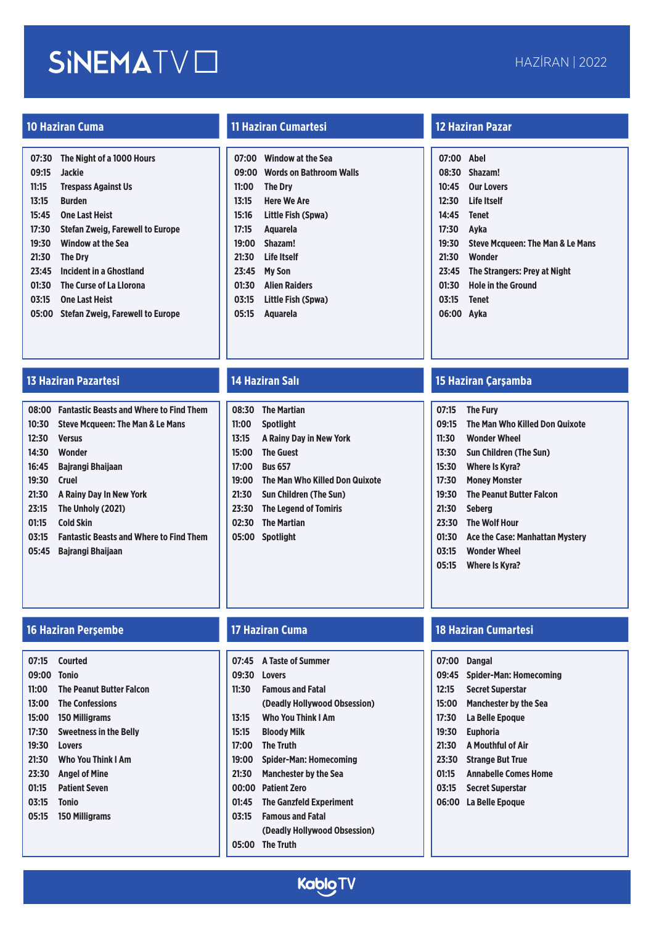| 07:30 | The Night of a 1000 Hours        |
|-------|----------------------------------|
| 09:15 | <b>Jackie</b>                    |
| 11:15 | <b>Trespass Against Us</b>       |
| 13:15 | <b>Burden</b>                    |
| 15:45 | <b>One Last Heist</b>            |
| 17:30 | Stefan Zweig, Farewell to Europe |
| 19:30 | <b>Window at the Sea</b>         |
| 21:30 | <b>The Drv</b>                   |
| 23:45 | <b>Incident in a Ghostland</b>   |
| 01:30 | The Curse of La Llorona          |
| 03:15 | <b>One Last Heist</b>            |
| 05:00 | Stefan Zweig, Farewell to Europe |
|       |                                  |

### **13 Haziran Pazartesi 14 Haziran Salı 15 Haziran Çarşamba**

| 08:00 | <b>Fantastic Beasts and Where to Find Them</b> |
|-------|------------------------------------------------|
| 10:30 | <b>Steve Mcqueen: The Man &amp; Le Mans</b>    |
| 12:30 | <b>Versus</b>                                  |
| 14:30 | <b>Wonder</b>                                  |
| 16:45 | <b>Bairangi Bhailaan</b>                       |
| 19:30 | Cruel                                          |
| 21:30 | A Rainy Day In New York                        |
| 23:15 | The Unholy (2021)                              |
| 01:15 | <b>Cold Skin</b>                               |
| 03:15 | <b>Fantastic Beasts and Where to Find Them</b> |
| 05:45 | Bairangi Bhailaan                              |

| 07:15 | Courted                         |
|-------|---------------------------------|
| 09:00 | Tonio                           |
| 11:00 | <b>The Peanut Butter Falcon</b> |
| 13:00 | <b>The Confessions</b>          |
| 15:00 | 150 Milligrams                  |
| 17:30 | <b>Sweetness in the Belly</b>   |
| 19:30 | Lovers                          |
| 21:30 | <b>Who You Think I Am</b>       |
| 23:30 | <b>Angel of Mine</b>            |
| 01:15 | <b>Patient Seven</b>            |
| 03:15 | Tonio                           |
| 05:15 | <b>150 Milligrams</b>           |
|       |                                 |
|       |                                 |

### **10 Haziran Cuma 11 Haziran Cumartesi 12 Haziran Pazar**

| 07:00 | <b>Window at the Sea</b>       |
|-------|--------------------------------|
| 09:00 | <b>Words on Bathroom Walls</b> |
| 11:00 | <b>The Drv</b>                 |
| 13:15 | <b>Here We Are</b>             |
| 15:16 | Little Fish (Spwa)             |
| 17:15 | Aguarela                       |
| 19:00 | Shazam!                        |
| 21:30 | Life Itself                    |
| 23:45 | <b>My Son</b>                  |
| 01:30 | <b>Alien Raiders</b>           |
| 03:15 | Little Fish (Spwa)             |
| 05:15 | Aguarela                       |

|       | 08:30 The Martian                    |
|-------|--------------------------------------|
| 11:00 | <b>Spotlight</b>                     |
| 13:15 | A Rainy Day in New York              |
| 15:00 | <b>The Guest</b>                     |
| 17:00 | <b>Bus 657</b>                       |
|       | 19:00 The Man Who Killed Don Quixote |
| 21:30 | <b>Sun Children (The Sun)</b>        |
|       | 23:30 The Legend of Tomiris          |
|       | 02:30 The Martian                    |
|       | 05:00 Spotlight                      |
|       |                                      |
|       |                                      |

| 07:00 Abel |                                             |
|------------|---------------------------------------------|
|            | 08:30 Shazam!                               |
| 10:45      | <b>Our Lovers</b>                           |
|            | 12:30 Life Itself                           |
| 14:45      | Tenet                                       |
| 17:30      | Avka                                        |
| 19:30      | <b>Steve Mcqueen: The Man &amp; Le Mans</b> |
| 21:30      | Wonder                                      |
| 23:45      | The Strangers: Prey at Night                |
| 01:30      | <b>Hole in the Ground</b>                   |
| 03:15      | <b>Tenet</b>                                |
| 06:00      | Avka                                        |
|            |                                             |

| 07:15 | <b>The Fury</b>                 |
|-------|---------------------------------|
| 09:15 | The Man Who Killed Don Quixote  |
| 11:30 | <b>Wonder Wheel</b>             |
| 13:30 | <b>Sun Children (The Sun)</b>   |
| 15:30 | Where Is Kyra?                  |
| 17:30 | <b>Money Monster</b>            |
| 19:30 | <b>The Peanut Butter Falcon</b> |
| 21:30 | Seberg                          |
| 23:30 | <b>The Wolf Hour</b>            |
| 01:30 | Ace the Case: Manhattan Mystery |
| 03:15 | <b>Wonder Wheel</b>             |
| 05:15 | Where Is Kyra?                  |

| 07:45 | <b>A Taste of Summer</b>       |
|-------|--------------------------------|
| 09:30 | Lovers                         |
| 11:30 | <b>Famous and Fatal</b>        |
|       | (Deadly Hollywood Obsession)   |
| 13:15 | Who You Think I Am             |
| 15:15 | Bloody Milk                    |
| 17:00 | <b>The Truth</b>               |
| 19:00 | <b>Spider-Man: Homecoming</b>  |
| 21:30 | <b>Manchester by the Sea</b>   |
|       | 00:00 Patient Zero             |
| 01:45 | <b>The Ganzfeld Experiment</b> |
| 03:15 | <b>Famous and Fatal</b>        |
|       | (Deadly Hollywood Obsession)   |
| 05:00 | <b>The Truth</b>               |

### **16 Haziran Perşembe 17 Haziran Cuma 18 Haziran Cumartesi**

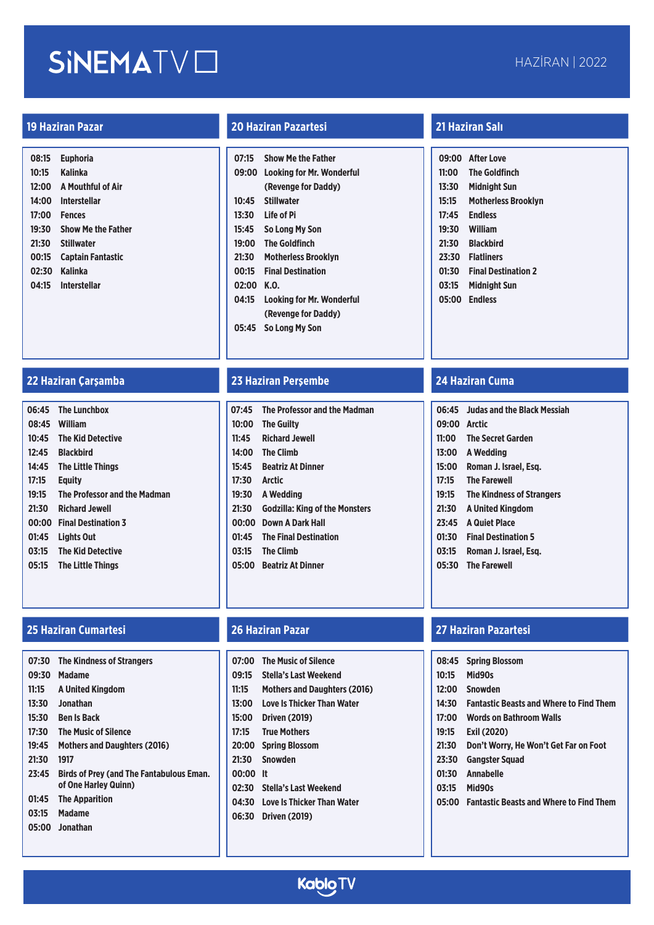| 08:15 | <b>Euphoria</b>           |
|-------|---------------------------|
| 10:15 | Kalinka                   |
| 12:00 | A Mouthful of Air         |
| 14:00 | Interstellar              |
| 17:00 | <b>Fences</b>             |
| 19:30 | <b>Show Me the Father</b> |
| 21:30 | <b>Stillwater</b>         |
| 00:15 | Captain Fantastic         |
| 02:30 | Kalinka                   |
| 04:15 | <b>Interstellar</b>       |
|       |                           |

### **19 Haziran Pazar 20 Haziran Pazartesi 21 Haziran Salı**

| 07:15 | <b>Show Me the Father</b>        |
|-------|----------------------------------|
| 09:00 | Looking for Mr. Wonderful        |
|       | (Revenge for Daddy)              |
| 10:45 | <b>Stillwater</b>                |
| 13:30 | Life of Pi                       |
| 15:45 | So Long My Son                   |
| 19:00 | <b>The Goldfinch</b>             |
| 21:30 | <b>Motherless Brooklyn</b>       |
| 00:15 | <b>Final Destination</b>         |
| 02:00 | K.O.                             |
| 04:15 | <b>Looking for Mr. Wonderful</b> |
|       | (Revenge for Daddy)              |
| 05:45 | So Long My Son                   |
|       |                                  |

### **22 Haziran Çarşamba 23 Haziran Perşembe 24 Haziran Cuma**

|       | 06:45 The Lunchbox           |
|-------|------------------------------|
|       | 08:45 William                |
|       | 10:45 The Kid Detective      |
| 12:45 | <b>Blackbird</b>             |
|       | 14:45 The Little Things      |
| 17:15 | Eauity                       |
|       |                              |
| 19:15 | The Professor and the Madman |
| 21:30 | <b>Richard Jewell</b>        |
|       | 00:00 Final Destination 3    |
| 01:45 | Lights Out                   |
| 03:15 | <b>The Kid Detective</b>     |

### **25 Haziran Cumartesi 26 Haziran Pazar 27 Haziran Pazartesi**

| 07:30 | <b>The Kindness of Strangers</b>                                 |
|-------|------------------------------------------------------------------|
| 09:30 | Madame                                                           |
| 11:15 | A United Kingdom                                                 |
| 13:30 | Jonathan                                                         |
| 15:30 | <b>Ben Is Back</b>                                               |
| 17:30 | The Music of Silence                                             |
| 19:45 | <b>Mothers and Daughters (2016)</b>                              |
| 21:30 | 1917                                                             |
| 23:45 | Birds of Prev (and The Fantabulous Eman.<br>of One Harley Quinn) |
| 01:45 | <b>The Apparition</b>                                            |
| 03:15 | <b>Madame</b>                                                    |
|       | 05:00 Jonathan                                                   |
|       |                                                                  |

|              | 07:45 The Professor and the Madman    |
|--------------|---------------------------------------|
|              | 10:00 The Guilty                      |
| 11:45        | <b>Richard Jewell</b>                 |
|              | 14:00 The Climb                       |
|              | 15:45 Beatriz At Dinner               |
| 17:30 Arctic |                                       |
|              | 19:30 A Wedding                       |
| 21:30        | <b>Godzilla: King of the Monsters</b> |
|              | 00:00 Down A Dark Hall                |
| 01:45        | <b>The Final Destination</b>          |
|              | 03:15 The Climb                       |
|              | 05:00 Beatriz At Dinner               |
|              |                                       |

| 07:00 | The Music of Silence                |
|-------|-------------------------------------|
| 09:15 | Stella's Last Weekend               |
| 11:15 | <b>Mothers and Daughters (2016)</b> |
| 13:00 | Love Is Thicker Than Water          |
| 15:00 | <b>Driven (2019)</b>                |
| 17:15 | <b>True Mothers</b>                 |
| 20:00 | <b>Spring Blossom</b>               |
| 21:30 | <b>Snowden</b>                      |
| 00:00 | It                                  |
| 02:30 | <b>Stella's Last Weekend</b>        |
| 04:30 | <b>Love Is Thicker Than Water</b>   |
| 06:30 | <b>Driven (2019)</b>                |
|       |                                     |

|       | 09:00 After Love           |
|-------|----------------------------|
| 11:00 | <b>The Goldfinch</b>       |
| 13:30 | <b>Midnight Sun</b>        |
| 15:15 | <b>Motherless Brooklyn</b> |
| 17:45 | <b>Endless</b>             |
| 19:30 | William                    |
| 21:30 | <b>Blackbird</b>           |
| 23:30 | <b>Flatliners</b>          |
| 01:30 | <b>Final Destination 2</b> |
| 03:15 | <b>Midnight Sun</b>        |
|       | 05:00 Endless              |
|       |                            |

|              | 06:45 Judas and the Black Messiah |
|--------------|-----------------------------------|
| 09:00 Arctic |                                   |
|              | 11:00 The Secret Garden           |
|              | 13:00 A Wedding                   |
|              | 15:00 Roman J. Israel, Esg.       |
| 17:15        | <b>The Farewell</b>               |
| 19:15        | <b>The Kindness of Strangers</b>  |
|              | 21:30 A United Kingdom            |
|              | 23:45 A Quiet Place               |
| 01:30        | <b>Final Destination 5</b>        |
| 03:15        | Roman J. Israel. Esg.             |
|              | 05:30 The Farewell                |

|       | 08:45 Spring Blossom                           |
|-------|------------------------------------------------|
| 10:15 | Mid90s                                         |
| 12:00 | Snowden                                        |
| 14:30 | <b>Fantastic Beasts and Where to Find Them</b> |
| 17:00 | <b>Words on Bathroom Walls</b>                 |
| 19:15 | Exil (2020)                                    |
| 21:30 | Don't Worry, He Won't Get Far on Foot          |
| 23:30 | Gangster Squad                                 |
| 01:30 | <b>Annabelle</b>                               |
| 03:15 | Mid90s                                         |
|       | 05:00 Fantastic Beasts and Where to Find Them  |
|       |                                                |

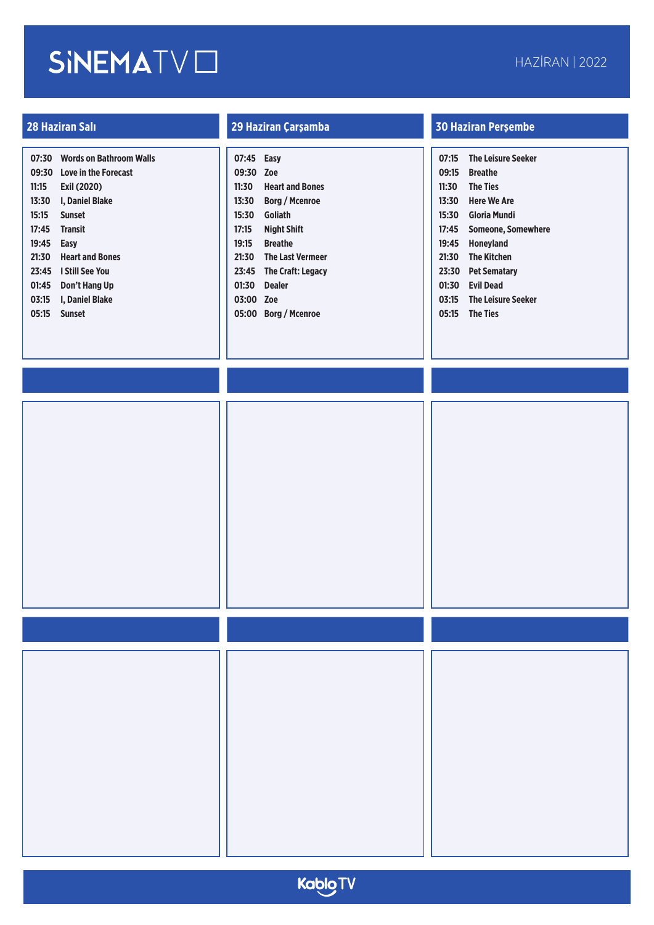| 07:30 | <b>Words on Bathroom Walls</b> |
|-------|--------------------------------|
| 09:30 | Love in the Forecast           |
| 11:15 | Exil (2020)                    |
| 13:30 | I, Daniel Blake                |
| 15:15 | <b>Sunset</b>                  |
| 17:45 | <b>Transit</b>                 |
| 19:45 | Easy                           |
| 21:30 | <b>Heart and Bones</b>         |
| 23:45 | I Still See You                |
| 01:45 | Don't Hang Up                  |
| 03:15 | I. Daniel Blake                |
| 05:15 | <b>Sunset</b>                  |
|       |                                |

| 07:45 | Easy                     |
|-------|--------------------------|
| 09:30 | Zoe                      |
| 11:30 | <b>Heart and Bones</b>   |
| 13:30 | <b>Borg / Mcenroe</b>    |
| 15:30 | Goliath                  |
| 17:15 | <b>Night Shift</b>       |
| 19:15 | <b>Breathe</b>           |
| 21:30 | <b>The Last Vermeer</b>  |
| 23:45 | <b>The Craft: Legacy</b> |
| 01:30 | <b>Dealer</b>            |
| 03:00 | Zoe                      |
| 05:00 | <b>Borg / Mcenroe</b>    |

| 07:15 | <b>The Leisure Seeker</b> |
|-------|---------------------------|
| 09:15 | <b>Breathe</b>            |
| 11:30 | <b>The Ties</b>           |
| 13:30 | Here We Are               |
| 15:30 | Gloria Mundi              |
| 17:45 | <b>Someone, Somewhere</b> |
| 19:45 | <b>Honeyland</b>          |
| 21:30 | <b>The Kitchen</b>        |
| 23:30 |                           |
|       | Pet Sematary              |
| 01:30 | <b>Evil Dead</b>          |
| 03:15 | <b>The Leisure Seeker</b> |
| 05:15 | <b>The Ties</b>           |
|       |                           |
|       |                           |
|       |                           |

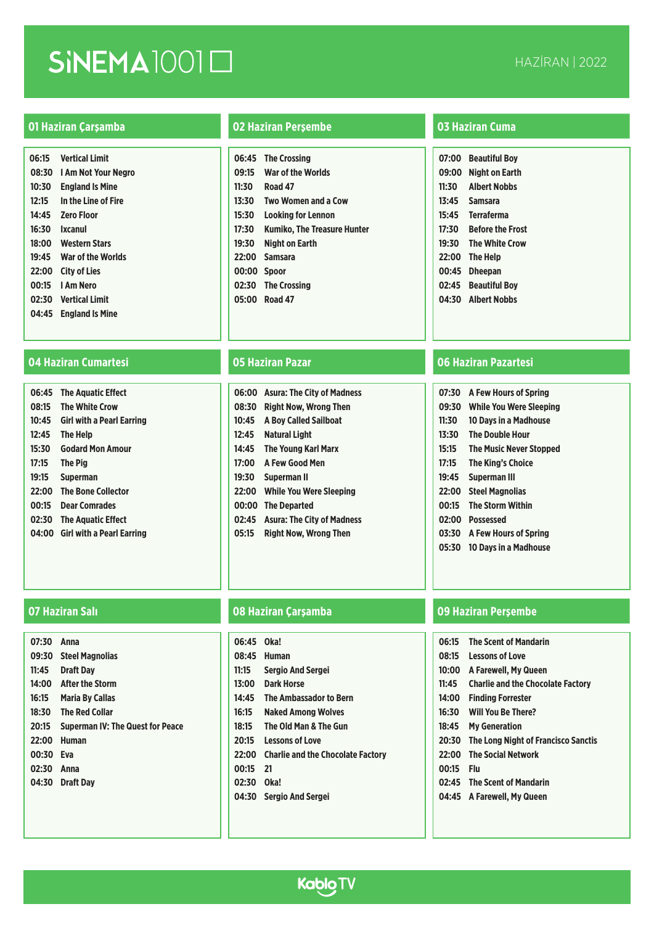| 06:15 | <b>Vertical Limit</b>  |
|-------|------------------------|
| 08:30 | I Am Not Your Negro    |
| 10:30 | <b>England Is Mine</b> |
| 12:15 | In the Line of Fire    |
| 14:45 | <b>Zero Floor</b>      |
| 16:30 | Ixcanul                |
| 18:00 | <b>Western Stars</b>   |
| 19:45 | War of the Worlds      |
| 22:00 | <b>City of Lies</b>    |
| 00:15 | I Am Nero              |
| 02:30 | <b>Vertical Limit</b>  |
| 04:45 | <b>England Is Mine</b> |
|       |                        |

### **04 Haziran Cumartesi 05 Haziran Pazar 06 Haziran Pazartesi**

| 06:45 | <b>The Aquatic Effect</b> |
|-------|---------------------------|
| 08:15 | <b>The White Crow</b>     |
| 10:45 | Girl with a Pearl Earring |
| 12:45 | The Help                  |
| 15:30 | <b>Godard Mon Amour</b>   |
| 17:15 | <b>The Pig</b>            |
| 19:15 | <b>Superman</b>           |
| 22:00 | <b>The Bone Collector</b> |
| 00:15 | <b>Dear Comrades</b>      |
| 02:30 | <b>The Aquatic Effect</b> |
| 04:00 | Girl with a Pearl Earring |
|       |                           |

### **01 Haziran Çarşamba 02 Haziran Perşembe 03 Haziran Cuma**

|             | 06:45 The Crossing                |
|-------------|-----------------------------------|
| 09:15       | <b>War of the Worlds</b>          |
|             | 11:30 Road 47                     |
|             | 13:30 Two Women and a Cow         |
|             | 15:30 Looking for Lennon          |
|             | 17:30 Kumiko, The Treasure Hunter |
|             | 19:30 Night on Earth              |
|             | 22:00 Samsara                     |
| 00:00 Spoor |                                   |
|             | 02:30 The Crossing                |
|             | 05:00 Road 47                     |
|             |                                   |

| 06:00 | <b>Asura: The City of Madness</b> |
|-------|-----------------------------------|
| 08:30 | <b>Right Now, Wrong Then</b>      |
| 10:45 | <b>A Boy Called Sailboat</b>      |
| 12:45 | <b>Natural Light</b>              |
| 14:45 | <b>The Young Karl Marx</b>        |
| 17:00 | <b>A Few Good Men</b>             |
| 19:30 | <b>Superman II</b>                |
| 22:00 | <b>While You Were Sleeping</b>    |
| 00:00 | <b>The Departed</b>               |
| 02:45 | <b>Asura: The City of Madness</b> |
| 05:15 | <b>Right Now, Wrong Then</b>      |
|       |                                   |

| 07:00 | <b>Beautiful Boy</b>    |
|-------|-------------------------|
| 09:00 | Night on Earth          |
| 11:30 | <b>Albert Nobbs</b>     |
| 13:45 | <b>Samsara</b>          |
|       | 15:45 Terraferma        |
| 17:30 | <b>Before the Frost</b> |
| 19:30 | <b>The White Crow</b>   |
|       | 22:00 The Help          |
| 00:45 | <b>Dheepan</b>          |
| 02:45 | <b>Beautiful Boy</b>    |
|       | 04:30 Albert Nobbs      |
|       |                         |

| 07:30 | <b>A Few Hours of Spring</b>   |
|-------|--------------------------------|
| 09:30 | While You Were Sleeping        |
| 11:30 | 10 Davs in a Madhouse          |
| 13:30 | <b>The Double Hour</b>         |
| 15:15 | <b>The Music Never Stopped</b> |
| 17:15 | The King's Choice              |
| 19:45 | Superman III                   |
| 22:00 | <b>Steel Magnolias</b>         |
| 00:15 | <b>The Storm Within</b>        |
| 02:00 | <b>Possessed</b>               |
| 03:30 | A Few Hours of Spring          |
| 05:30 | <b>10 Days in a Madhouse</b>   |

| 07:30 | Anna                                    |
|-------|-----------------------------------------|
| 09:30 | <b>Steel Magnolias</b>                  |
| 11:45 | <b>Draft Day</b>                        |
|       | 14:00 After the Storm                   |
| 16:15 | <b>Maria By Callas</b>                  |
| 18:30 | <b>The Red Collar</b>                   |
| 20:15 | <b>Superman IV: The Quest for Peace</b> |
| 22:00 | <b>Human</b>                            |
| 00:30 | Eva                                     |
| 02:30 | Anna                                    |
|       | 04:30 Draft Dav                         |
|       |                                         |

| 06:45 Oka!<br>08:45<br>11:15<br>13:00 | Human<br><b>Sergio And Sergei</b><br>Dark Horse |
|---------------------------------------|-------------------------------------------------|
| 14:45                                 | <b>The Ambassador to Bern</b>                   |
| 16:15                                 | <b>Naked Among Wolves</b>                       |
| 18:15                                 | The Old Man & The Gun                           |
| 20:15                                 | <b>Lessons of Love</b>                          |
| 22:00                                 | <b>Charlie and the Chocolate Factory</b>        |
| 00:15                                 | 21                                              |
| 02:30                                 | Oka!                                            |
| 04:30                                 | <b>Sergio And Sergei</b>                        |

| 06:15 | <b>The Scent of Mandarin</b>               |
|-------|--------------------------------------------|
| 08:15 | <b>Lessons of Love</b>                     |
| 10:00 | A Farewell, My Queen                       |
| 11:45 | <b>Charlie and the Chocolate Factory</b>   |
| 14:00 | <b>Finding Forrester</b>                   |
| 16:30 | <b>Will You Be There?</b>                  |
| 18:45 | <b>My Generation</b>                       |
| 20:30 | <b>The Long Night of Francisco Sanctis</b> |
| 22:00 | <b>The Social Network</b>                  |
| 00:15 | Flu                                        |
|       | 02:45 The Scent of Mandarin                |
|       | 04:45 A Farewell, My Queen                 |

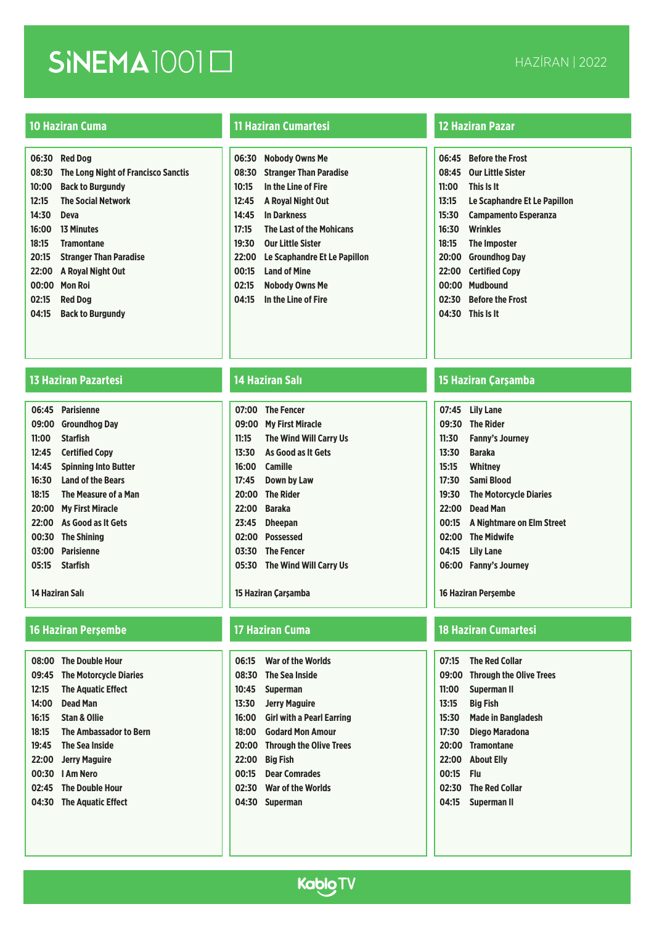|       | 06:30 Red Dog                             |
|-------|-------------------------------------------|
|       | 08:30 The Long Night of Francisco Sanctis |
| 10:00 | <b>Back to Burgundy</b>                   |
| 12:15 | <b>The Social Network</b>                 |
| 14:30 | <b>Deva</b>                               |
|       |                                           |
|       | 18:15 Tramontane                          |
|       | 20:15 Stranger Than Paradise              |
|       | 22:00 A Royal Night Out                   |
| 00:00 | Mon Roi                                   |
| 02:15 | <b>Red Dog</b>                            |
|       | 04:15 Back to Burgundy                    |
|       |                                           |

## **13 Haziran Pazartesi 14 Haziran Salı 15 Haziran Çarşamba**

| 06:45 | Parisienne                  |
|-------|-----------------------------|
| 09:00 | Groundhog Dav               |
| 11:00 | <b>Starfish</b>             |
| 12:45 | <b>Certified Copy</b>       |
| 14:45 | <b>Spinning Into Butter</b> |
| 16:30 | <b>Land of the Bears</b>    |
| 18:15 | The Measure of a Man        |
| 20:00 | <b>My First Miracle</b>     |
| 22:00 | As Good as It Gets          |
| 00:30 | <b>The Shining</b>          |
| 03:00 | <b>Parisienne</b>           |
| 05:15 | <b>Starfish</b>             |
|       |                             |

### **14 Haziran Salı**

## **16 Haziran Perşembe 17 Haziran Cuma 18 Haziran Cumartesi**

| 08:00 | The Double Hour               |
|-------|-------------------------------|
| 09:45 | <b>The Motorcycle Diaries</b> |
| 12:15 | <b>The Aquatic Effect</b>     |
| 14:00 | Dead Man                      |
| 16:15 | <b>Stan &amp; Ollie</b>       |
| 18:15 | <b>The Ambassador to Bern</b> |
| 19:45 | <b>The Sea Inside</b>         |
|       | 22:00 Jerry Maguire           |
|       | 00:30   Am Nero               |
|       | 02:45 The Double Hour         |
| 04:30 | <b>The Aquatic Effect</b>     |
|       |                               |

### **10 Haziran Cuma 11 Haziran Cumartesi 12 Haziran Pazar**

| 06:30 | <b>Nobody Owns Me</b>           |
|-------|---------------------------------|
| 08:30 | <b>Stranger Than Paradise</b>   |
| 10:15 | In the Line of Fire             |
| 12:45 | A Royal Night Out               |
| 14:45 | <b>In Darkness</b>              |
| 17:15 | <b>The Last of the Mohicans</b> |
| 19:30 | <b>Our Little Sister</b>        |
| 22:00 | Le Scaphandre Et Le Papillon    |
| 00:15 | <b>Land of Mine</b>             |
| 02:15 | <b>Nobody Owns Me</b>           |
| 04:15 | In the Line of Fire             |
|       |                                 |

| 07:00 | <b>The Fencer</b>            |
|-------|------------------------------|
| 09:00 | <b>My First Miracle</b>      |
| 11:15 | The Wind Will Carry Us       |
| 13:30 | As Good as It Gets           |
| 16:00 | Camille                      |
| 17:45 | <b>Down by Law</b>           |
| 20:00 | <b>The Rider</b>             |
| 22:00 | Baraka                       |
| 23:45 | <b>Dheepan</b>               |
| 02:00 | <b>Possessed</b>             |
|       | 03:30 The Fencer             |
|       | 05:30 The Wind Will Carry Us |
|       |                              |
|       |                              |

### **15 Haziran Çarşamba**

| 06:15 | War of the Worlds               |
|-------|---------------------------------|
|       | 08:30 The Sea Inside            |
| 10:45 | <b>Superman</b>                 |
| 13:30 | <b>Jerry Maguire</b>            |
|       | 16:00 Girl with a Pearl Earring |
| 18:00 | <b>Godard Mon Amour</b>         |
| 20:00 | <b>Through the Olive Trees</b>  |
| 22:00 | <b>Big Fish</b>                 |
| 00:15 | <b>Dear Comrades</b>            |
|       | 02:30 War of the Worlds         |
| 04:30 | <b>Superman</b>                 |
|       |                                 |

| 06:45 | <b>Before the Frost</b>      |
|-------|------------------------------|
| 08:45 | <b>Our Little Sister</b>     |
| 11:00 | This Is It                   |
| 13:15 | Le Scaphandre Et Le Papillon |
| 15:30 | <b>Campamento Esperanza</b>  |
| 16:30 | <b>Wrinkles</b>              |
| 18:15 | The Imposter                 |
| 20:00 | <b>Groundhog Dav</b>         |
| 22:00 | <b>Certified Copy</b>        |
| 00:00 | <b>Mudbound</b>              |
| 02:30 | <b>Before the Frost</b>      |
|       | 04:30 This Is It             |
|       |                              |

| 07:45 | <b>Lily Lane</b>              |
|-------|-------------------------------|
| 09:30 | <b>The Rider</b>              |
| 11:30 | <b>Fanny's Journey</b>        |
| 13:30 | Baraka                        |
| 15:15 | Whitney                       |
| 17:30 | Sami Blood                    |
| 19:30 | <b>The Motorcycle Diaries</b> |
| 22:00 | <b>Dead Man</b>               |
| 00:15 | A Nightmare on Elm Street     |
| 02:00 | <b>The Midwife</b>            |
| 04:15 | <b>Lily Lane</b>              |
| 06:00 | <b>Fanny's Journey</b>        |
|       |                               |

**16 Haziran Perşembe**

| 07:15 | <b>The Red Collar</b>          |
|-------|--------------------------------|
| 09:00 | <b>Through the Olive Trees</b> |
| 11:00 | <b>Superman II</b>             |
| 13:15 | <b>Big Fish</b>                |
| 15:30 | Made in Bangladesh             |
| 17:30 | Diego Maradona                 |
| 20:00 | <b>Tramontane</b>              |
| 22:00 | <b>About Elly</b>              |
| 00:15 | Flu                            |
| 02:30 | <b>The Red Collar</b>          |
| 04:15 | Superman II                    |
|       |                                |

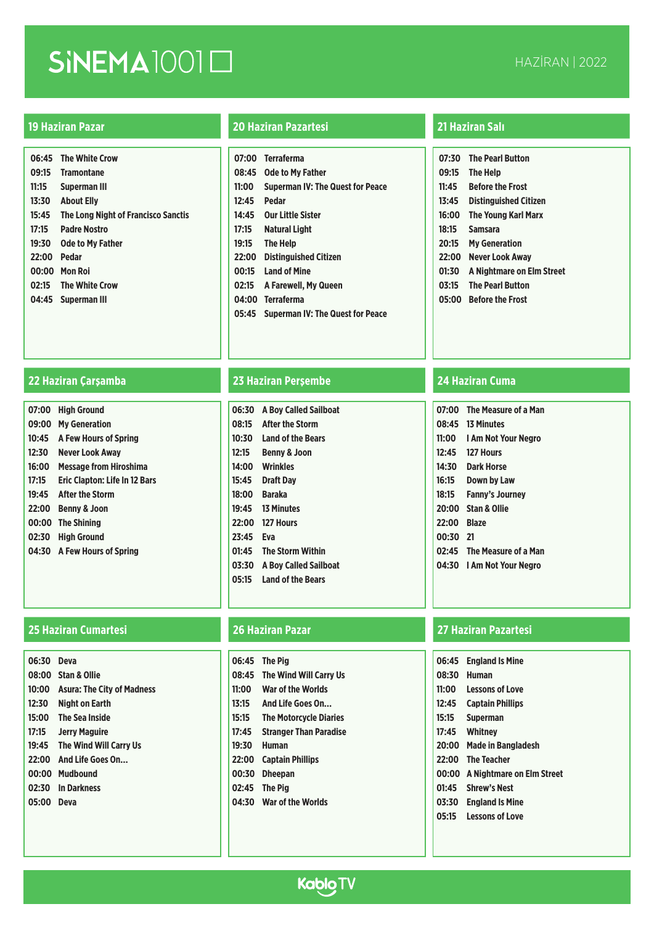|       | 06:45 The White Crow                       |
|-------|--------------------------------------------|
| 09:15 | <b>Tramontane</b>                          |
| 11:15 | Superman III                               |
| 13:30 | <b>About Elly</b>                          |
| 15:45 | <b>The Long Night of Francisco Sanctis</b> |
| 17:15 | <b>Padre Nostro</b>                        |
| 19:30 | <b>Ode to My Father</b>                    |
| 22:00 | <b>Pedar</b>                               |
| 00:00 | <b>Mon Roi</b>                             |
| 02:15 | <b>The White Crow</b>                      |
|       | 04:45 Superman III                         |
|       |                                            |

### **19 Haziran Pazar 20 Haziran Pazartesi 21 Haziran Salı**

|       | 07:00 Terraferma                        |
|-------|-----------------------------------------|
|       | 08:45 Ode to My Father                  |
| 11:00 | <b>Superman IV: The Quest for Peace</b> |
| 12:45 | <b>Pedar</b>                            |
| 14:45 | <b>Our Little Sister</b>                |
| 17:15 | Natural Light                           |
| 19:15 | The Help                                |
| 22:00 | <b>Distinguished Citizen</b>            |
| 00:15 | <b>Land of Mine</b>                     |
| 02:15 | A Farewell, My Queen                    |
|       | 04:00 Terraferma                        |
|       | 05:45 Superman IV: The Quest for Peace  |

| 07:00 | <b>High Ground</b>            |
|-------|-------------------------------|
| 09:00 | <b>My Generation</b>          |
| 10:45 | <b>A Few Hours of Spring</b>  |
| 12:30 | Never Look Away               |
| 16:00 | <b>Message from Hiroshima</b> |
| 17:15 | Eric Clapton: Life In 12 Bars |
| 19:45 | <b>After the Storm</b>        |
| 22:00 | <b>Benny &amp; Joon</b>       |
| 00:00 | <b>The Shining</b>            |
| 02:30 | <b>High Ground</b>            |
| 04:30 | A Few Hours of Spring         |
|       |                               |

### **25 Haziran Cumartesi 26 Haziran Pazar 27 Haziran Pazartesi**

| 06:30 Deva |                                   |
|------------|-----------------------------------|
|            |                                   |
|            | 08:00 Stan & Ollie                |
| 10:00      | <b>Asura: The City of Madness</b> |
| 12:30      | Night on Earth                    |
|            | 15:00 The Sea Inside              |
| 17:15      | <b>Jerry Maguire</b>              |
| 19:45      | The Wind Will Carry Us            |
|            | 22:00 And Life Goes On            |
|            | 00:00 Mudbound                    |
|            | 02:30 In Darkness                 |
| 05:00 Deva |                                   |
|            |                                   |

## **22 Haziran Çarşamba 23 Haziran Perşembe 24 Haziran Cuma**

| 06:30 | <b>A Boy Called Sailboat</b> |
|-------|------------------------------|
| 08:15 | <b>After the Storm</b>       |
| 10:30 | <b>Land of the Bears</b>     |
| 12:15 | <b>Benny &amp; Joon</b>      |
|       | 14:00 Wrinkles               |
| 15:45 | <b>Draft Day</b>             |
|       | 18:00 Baraka                 |
|       | 19:45 13 Minutes             |
|       | 22:00 127 Hours              |
| 23:45 | Eva                          |
| 01:45 | <b>The Storm Within</b>      |
| 03:30 | <b>A Boy Called Sailboat</b> |
|       | 05:15 Land of the Bears      |

| 06:45 | <b>The Pig</b>                |
|-------|-------------------------------|
| 08:45 | The Wind Will Carry Us        |
| 11:00 | War of the Worlds             |
| 13:15 | And Life Goes On              |
| 15:15 | <b>The Motorcycle Diaries</b> |
| 17:45 | <b>Stranger Than Paradise</b> |
| 19:30 | <b>Human</b>                  |
| 22:00 | <b>Captain Phillips</b>       |
| 00:30 | <b>Dheepan</b>                |
| 02:45 | <b>The Pig</b>                |
| 04:30 | War of the Worlds             |
|       |                               |
|       |                               |

| 07:30 | <b>The Pearl Button</b>      |
|-------|------------------------------|
| 09:15 | The Help                     |
| 11:45 | <b>Before the Frost</b>      |
| 13:45 | <b>Distinguished Citizen</b> |
| 16:00 | The Young Karl Marx          |
| 18:15 | <b>Samsara</b>               |
| 20:15 | <b>My Generation</b>         |
| 22:00 | Never Look Awav              |
| 01:30 | A Nightmare on Elm Street    |
| 03:15 | <b>The Pearl Button</b>      |
| 05:00 | <b>Before the Frost</b>      |

|             | 07:00 The Measure of a Man |
|-------------|----------------------------|
|             | 08:45 13 Minutes           |
|             | 11:00 I Am Not Your Negro  |
|             | 12:45 127 Hours            |
| 14:30       | Dark Horse                 |
| 16:15       | Down by Law                |
| 18:15       | <b>Fanny's Journey</b>     |
|             | 20:00 Stan & Ollie         |
| 22:00 Blaze |                            |
| 00:30 21    |                            |
|             | 02:45 The Measure of a Man |
|             | 04:30 I Am Not Your Negro  |

| 06:45 | <b>England Is Mine</b>    |
|-------|---------------------------|
| 08:30 | Human                     |
| 11:00 | <b>Lessons of Love</b>    |
| 12:45 | <b>Captain Phillips</b>   |
| 15:15 | Superman                  |
| 17:45 | Whitney                   |
| 20:00 | <b>Made in Bangladesh</b> |
| 22:00 | <b>The Teacher</b>        |
| 00:00 | A Nightmare on Elm Street |
| 01:45 | <b>Shrew's Nest</b>       |
| 03:30 | <b>England Is Mine</b>    |
| 05:15 | <b>Lessons of Love</b>    |

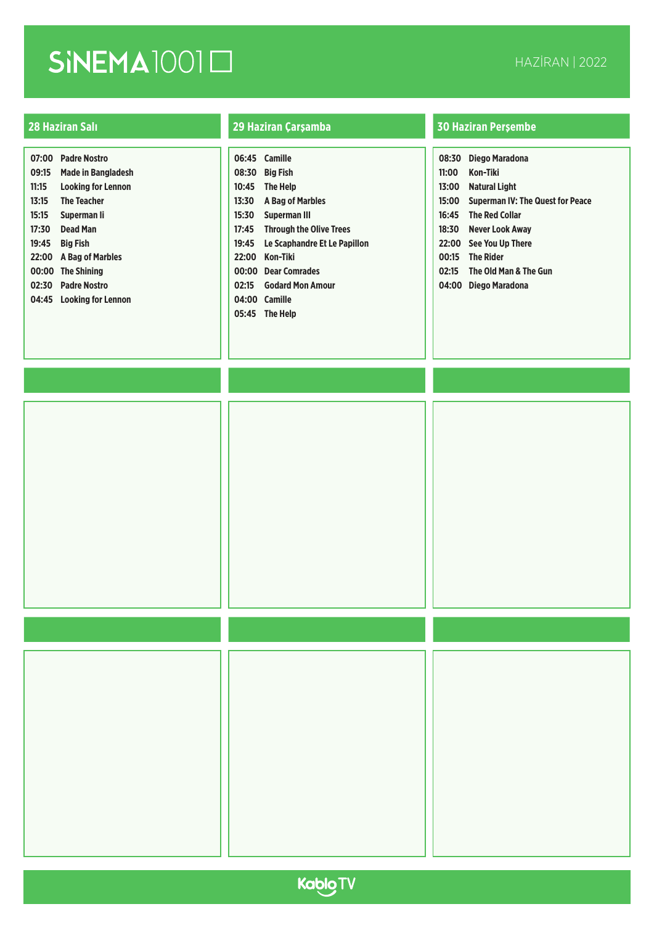| 07:00<br>09:15 | <b>Padre Nostro</b><br><b>Made in Bangladesh</b> |
|----------------|--------------------------------------------------|
| 11:15          | <b>Looking for Lennon</b>                        |
| 13:15          | <b>The Teacher</b>                               |
| 15:15          | Superman li                                      |
| 17:30          | Dead Man                                         |
| 19:45          | <b>Big Fish</b>                                  |
| 22:00          | <b>A Bag of Marbles</b>                          |
| 00:00          | <b>The Shining</b>                               |
| 02:30          | <b>Padre Nostro</b>                              |
| 04:45          | <b>Looking for Lennon</b>                        |
|                |                                                  |

|       | 06:45 Camille                  |
|-------|--------------------------------|
| 08:30 | <b>Big Fish</b>                |
| 10:45 | <b>The Help</b>                |
| 13:30 | <b>A Bag of Marbles</b>        |
| 15:30 | <b>Superman III</b>            |
| 17:45 | <b>Through the Olive Trees</b> |
| 19:45 | Le Scaphandre Et Le Papillon   |
| 22:00 | Kon-Tiki                       |
|       | 00:00 Dear Comrades            |
| 02:15 | <b>Godard Mon Amour</b>        |
|       | 04:00 Camille                  |
|       | 05:45 The Help                 |

| 08:30 | Diego Maradona                          |
|-------|-----------------------------------------|
| 11:00 | Kon-Tiki                                |
| 13:00 | Natural Light                           |
| 15:00 | <b>Superman IV: The Quest for Peace</b> |
| 16:45 | <b>The Red Collar</b>                   |
| 18:30 | Never Look Away                         |
| 22:00 | See You Up There                        |
| 00:15 | <b>The Rider</b>                        |
| 02:15 | The Old Man & The Gun                   |
| 04:00 | Diego Maradona                          |

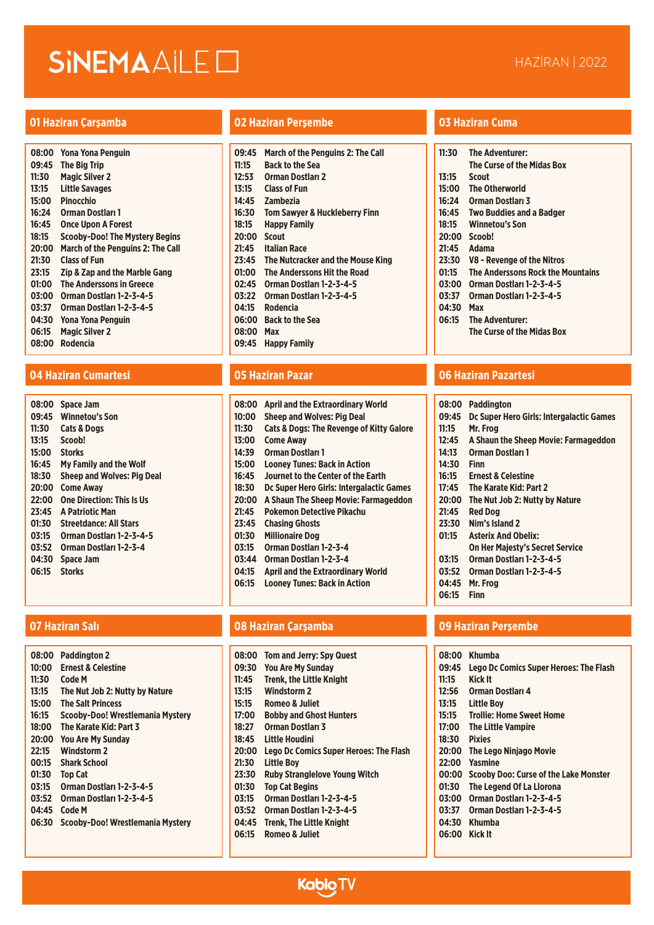### **01 Haziran Çarşamba 02 Haziran Perşembe 03 Haziran Cuma**

| 08:00 | <b>Yona Yona Penguin</b>                 |
|-------|------------------------------------------|
| 09:45 | <b>The Big Trip</b>                      |
| 11:30 | <b>Magic Silver 2</b>                    |
| 13:15 | Little Savages                           |
| 15:00 | <b>Pinocchio</b>                         |
| 16:24 | <b>Orman Dostlari 1</b>                  |
| 16:45 | <b>Once Upon A Forest</b>                |
| 18:15 | <b>Scooby-Doo! The Mystery Begins</b>    |
| 20:00 | <b>March of the Penguins 2: The Call</b> |
| 21:30 | <b>Class of Fun</b>                      |
| 23:15 | <b>Zip &amp; Zap and the Marble Gang</b> |
| 01:00 | <b>The Anderssons in Greece</b>          |
| 03:00 | Orman Dostları 1-2-3-4-5                 |
| 03:37 | Orman Dostları 1-2-3-4-5                 |
| 04:30 | <b>Yona Yona Penguin</b>                 |
| 06:15 | <b>Magic Silver 2</b>                    |
| 08:00 | Rodencia                                 |

| 08:00 | <b>Space Jam</b>                  |
|-------|-----------------------------------|
| 09:45 | <b>Winnetou's Son</b>             |
| 11:30 | <b>Cats &amp; Dogs</b>            |
| 13:15 | Scoob!                            |
| 15:00 | Storks                            |
| 16:45 | <b>My Family and the Wolf</b>     |
| 18:30 | <b>Sheep and Wolves: Pig Deal</b> |
| 20:00 | Come Awav                         |
| 22:00 | <b>One Direction: This Is Us</b>  |
| 23:45 | <b>A Patriotic Man</b>            |
| 01:30 | <b>Streetdance: All Stars</b>     |
| 03:15 | Orman Dostları 1-2-3-4-5          |
| 03:52 | Orman Dostları 1-2-3-4            |
| 04:30 | Space Jam                         |
| 06:15 | Storks                            |

| 08:00 | <b>Paddington 2</b>              |
|-------|----------------------------------|
| 10:00 | <b>Frnest &amp; Celestine</b>    |
| 11:30 | Code M                           |
| 13:15 | The Nut Job 2: Nutty by Nature   |
| 15:00 | <b>The Salt Princess</b>         |
| 16:15 | Scooby-Doo! Wrestlemania Mystery |
| 18:00 | The Karate Kid: Part 3           |
| 20:00 | <b>You Are My Sunday</b>         |
| 22:15 | <b>Windstorm 2</b>               |
| 00:15 | <b>Shark School</b>              |
| 01:30 | <b>Top Cat</b>                   |
| 03:15 | Orman Dostları 1-2-3-4-5         |
| 03:52 | Orman Dostları 1-2-3-4-5         |
| 04:45 | <b>Code M</b>                    |
| 06:30 | Scooby-Doo! Wrestlemania Mystery |
|       |                                  |

| 09:45 | <b>March of the Penguins 2: The Call</b> |
|-------|------------------------------------------|
| 11:15 | Back to the Sea                          |
| 12:53 | <b>Orman Dostları 2</b>                  |
| 13:15 | Class of Fun                             |
| 14:45 | Zambezia                                 |
| 16:30 | <b>Tom Sawyer &amp; Huckleberry Finn</b> |
| 18:15 | Happy Family                             |
| 20:00 | <b>Scout</b>                             |
| 21:45 | <b>Italian Race</b>                      |
| 23:45 | The Nutcracker and the Mouse King        |
| 01:00 | The Anderssons Hit the Road              |
| 02:45 | Orman Dostları 1-2-3-4-5                 |
| 03:22 | Orman Dostları 1-2-3-4-5                 |
| 04:15 | Rodencia                                 |
| 06:00 | Back to the Sea                          |
| 08:00 | Max                                      |
| 09:45 | <b>Happy Family</b>                      |

| 08:00 | April and the Extraordinary World                   |
|-------|-----------------------------------------------------|
| 10:00 | <b>Sheep and Wolves: Pig Deal</b>                   |
| 11:30 | <b>Cats &amp; Dogs: The Revenge of Kitty Galore</b> |
| 13:00 | <b>Come Away</b>                                    |
| 14:39 | <b>Orman Dostları 1</b>                             |
| 15:00 | <b>Looney Tunes: Back in Action</b>                 |
| 16:45 | Journet to the Center of the Earth                  |
| 18:30 | Dc Super Hero Girls: Intergalactic Games            |
| 20:00 | A Shaun The Sheep Movie: Farmageddon                |
| 21:45 | Pokemon Detective Pikachu                           |
| 23:45 | <b>Chasing Ghosts</b>                               |
| 01:30 | <b>Millionaire Dog</b>                              |
| 03:15 | Orman Dostları 1-2-3-4                              |
| 03:44 | Orman Dostları 1-2-3-4                              |
| 04:15 | April and the Extraordinary World                   |
| 06:15 | Loonev Tunes: Back in Action                        |
|       |                                                     |
|       |                                                     |

| 08:00 | <b>Tom and Jerry: Spy Quest</b>               |
|-------|-----------------------------------------------|
| 09:30 | <b>You Are My Sunday</b>                      |
| 11:45 | <b>Trenk. the Little Knight</b>               |
| 13:15 | <b>Windstorm 2</b>                            |
| 15:15 | Romeo & Juliet                                |
| 17:00 | <b>Bobby and Ghost Hunters</b>                |
| 18:27 | <b>Orman Dostlari 3</b>                       |
| 18:45 | Little Houdini                                |
| 20:00 | <b>Lego Dc Comics Super Heroes: The Flash</b> |
| 21:30 | <b>Little Bov</b>                             |
| 23:30 | <b>Ruby Stranglelove Young Witch</b>          |
| 01:30 | <b>Top Cat Begins</b>                         |
| 03:15 | Orman Dostları 1-2-3-4-5                      |
| 03:52 | Orman Dostları 1-2-3-4-5                      |
| 04:45 | <b>Trenk, The Little Knight</b>               |
| 06:15 | Romeo & Juliet                                |
|       |                                               |

**Kablo TV** 

| 11:30 | <b>The Adventurer:</b>            |
|-------|-----------------------------------|
|       | The Curse of the Midas Box        |
| 13:15 | <b>Scout</b>                      |
| 15:00 | <b>The Otherworld</b>             |
| 16:24 | <b>Orman Dostlari 3</b>           |
|       | 16:45 Two Buddies and a Badger    |
| 18:15 | <b>Winnetou's Son</b>             |
|       | 20:00 Scoob!                      |
|       | 21:45 Adama                       |
| 23:30 | V8 - Revenge of the Nitros        |
| 01:15 | The Anderssons Rock the Mountains |
| 03:00 | Orman Dostları 1-2-3-4-5          |
| 03:37 | Orman Dostları 1-2-3-4-5          |
| 04:30 | Max                               |
| 06:15 | <b>The Adventurer:</b>            |
|       | The Curse of the Midas Box        |
|       |                                   |

### **04 Haziran Cumartesi 05 Haziran Pazar 06 Haziran Pazartesi**

|       | 08:00 Paddington                               |
|-------|------------------------------------------------|
|       | 09:45 Dc Super Hero Girls: Intergalactic Games |
|       | 11:15 Mr. Frog                                 |
|       | 12:45 A Shaun the Sheep Movie: Farmageddon     |
| 14:13 | <b>Orman Dostlari 1</b>                        |
| 14:30 | <b>Finn</b>                                    |

- **16:15 Ernest & Celestine**
- **17:45 The Karate Kid: Part 2**
- **20:00 The Nut Job 2: Nutty by Nature**
- **21:45 Red Dog**
- **23:30 Nim's Island 2**
- **01:15 Asterix And Obelix:**
- **On Her Majesty's Secret Service**
- **03:15 Orman Dostları 1-2-3-4-5**
- **03:52 Orman Dostları 1-2-3-4-5**
- **04:45 Mr. Frog**
- **06:15 Finn**

| 08:00 | Khumba                                        |
|-------|-----------------------------------------------|
| 09:45 | <b>Lego Dc Comics Super Heroes: The Flash</b> |
| 11:15 | Kick It                                       |
| 12:56 | <b>Orman Dostlari 4</b>                       |
| 13:15 | <b>Little Boy</b>                             |
| 15:15 | Trollie: Home Sweet Home                      |
| 17:00 | <b>The Little Vampire</b>                     |
| 18:30 | <b>Pixies</b>                                 |
| 20:00 | The Lego Ninjago Movie                        |
| 22:00 | Yasmine                                       |
| 00:00 | <b>Scooby Doo: Curse of the Lake Monster</b>  |
| 01:30 | The Legend Of La Llorona                      |
| 03:00 | Orman Dostları 1-2-3-4-5                      |
| 03:37 | Orman Dostları 1-2-3-4-5                      |
| 04:30 | Khumba                                        |
| 06:00 | Kick It                                       |
|       |                                               |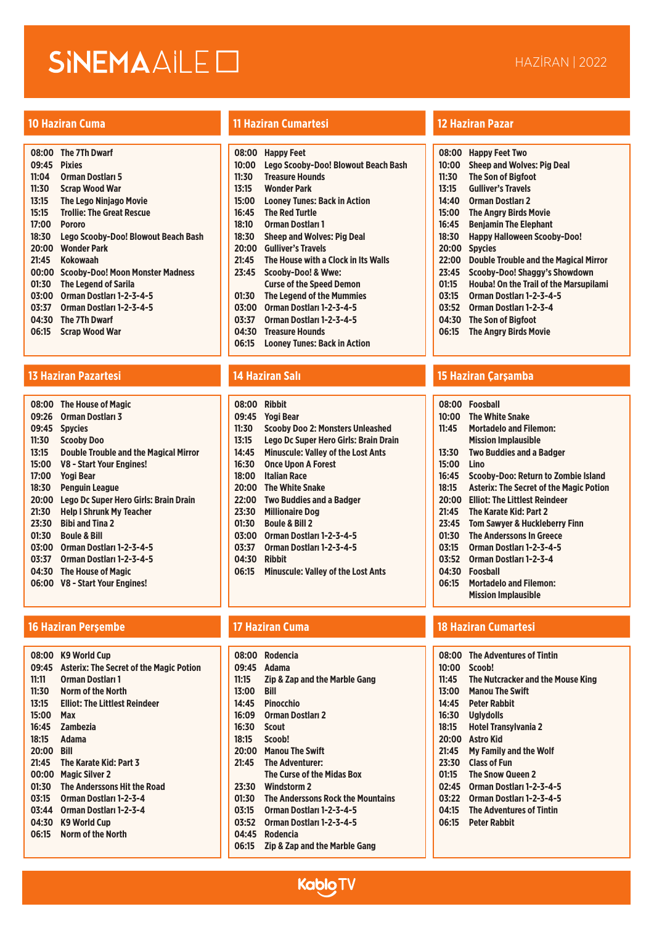| 08:00 | <b>The 7Th Dwarf</b>                |
|-------|-------------------------------------|
| 09:45 | <b>Pixies</b>                       |
| 11:04 | <b>Orman Dostlari 5</b>             |
| 11:30 | <b>Scrap Wood War</b>               |
| 13:15 | <b>The Lego Niniago Movie</b>       |
| 15:15 | <b>Trollie: The Great Rescue</b>    |
| 17:00 | <b>Pororo</b>                       |
| 18:30 | Lego Scooby-Doo! Blowout Beach Bash |
| 20:00 | <b>Wonder Park</b>                  |
| 21:45 | Kokowaah                            |
| 00:00 | Scooby-Doo! Moon Monster Madness    |
| 01:30 | <b>The Legend of Sarila</b>         |
| 03:00 | Orman Dostları 1-2-3-4-5            |
| 03:37 | Orman Dostları 1-2-3-4-5            |
| 04:30 | The 7Th Dwarf                       |
| 06:15 | <b>Scrap Wood War</b>               |
|       |                                     |

| <b>The House of Magic</b>                    |
|----------------------------------------------|
| Orman Dostları 3                             |
| <b>Spycies</b>                               |
| <b>Scooby Doo</b>                            |
| <b>Double Trouble and the Magical Mirror</b> |
| V8 - Start Your Engines!                     |
| <b>Yogi Bear</b>                             |
| <b>Penguin League</b>                        |
| Lego Dc Super Hero Girls: Brain Drain        |
| <b>Help I Shrunk My Teacher</b>              |
| <b>Bibi and Tina 2</b>                       |
| Boule & Bill                                 |
| Orman Dostları 1-2-3-4-5                     |
| Orman Dostları 1-2-3-4-5                     |
| <b>The House of Magic</b>                    |
| V8 - Start Your Engines!                     |
|                                              |

### **16 Haziran Perşembe 17 Haziran Cuma 18 Haziran Cumartesi**

| 08:00 | <b>K9 World Cup</b>                            |
|-------|------------------------------------------------|
| 09:45 | <b>Asterix: The Secret of the Magic Potion</b> |
| 11:11 | Orman Dostları 1                               |
|       |                                                |
| 11:30 | <b>Norm of the North</b>                       |
| 13:15 | <b>Elliot: The Littlest Reindeer</b>           |
| 15:00 | Max                                            |
| 16:45 | Zambezia                                       |
| 18:15 | <b>Adama</b>                                   |
| 20:00 | Rill                                           |
| 21:45 | The Karate Kid: Part 3                         |
| 00:00 | <b>Magic Silver 2</b>                          |
| 01:30 | The Anderssons Hit the Road                    |
| 03:15 | Orman Dostları 1-2-3-4                         |
| 03:44 | Orman Dostları 1-2-3-4                         |
| 04:30 | K9 World Cup                                   |
| 06:15 | <b>Norm of the North</b>                       |
|       |                                                |

## **10 Haziran Cuma 11 Haziran Cumartesi 12 Haziran Pazar**

| 08:00 | <b>Happy Feet</b>                   |
|-------|-------------------------------------|
| 10:00 | Lego Scooby-Doo! Blowout Beach Bash |
| 11:30 | <b>Treasure Hounds</b>              |
| 13:15 | Wonder Park                         |
| 15:00 | <b>Looney Tunes: Back in Action</b> |
| 16:45 | <b>The Red Turtle</b>               |
| 18:10 | Orman Dostları 1                    |
| 18:30 | <b>Sheep and Wolves: Pig Deal</b>   |
| 20:00 | <b>Gulliver's Travels</b>           |
| 21:45 | The House with a Clock in Its Walls |
| 23:45 | Scooby-Doo! & Wwe:                  |
|       | <b>Curse of the Speed Demon</b>     |
| 01:30 | The Legend of the Mummies           |
| 03:00 | Orman Dostları 1-2-3-4-5            |
| 03:37 | Orman Dostları 1-2-3-4-5            |
| 04:30 | Treasure Hounds                     |
| 06:15 | Looney Tunes: Back in Action        |
|       |                                     |

| 08:00 | <b>Ribbit</b>                             |
|-------|-------------------------------------------|
| 09:45 | <b>Yogi Bear</b>                          |
| 11:30 | <b>Scooby Doo 2: Monsters Unleashed</b>   |
| 13:15 | Lego Dc Super Hero Girls: Brain Drain     |
| 14:45 | <b>Minuscule: Valley of the Lost Ants</b> |
| 16:30 | <b>Once Upon A Forest</b>                 |
| 18:00 | <b>Italian Race</b>                       |
| 20:00 | <b>The White Snake</b>                    |
| 22:00 | <b>Two Buddies and a Badger</b>           |
| 23:30 | <b>Millionaire Dog</b>                    |
| 01:30 | <b>Boule &amp; Bill 2</b>                 |
| 03:00 | Orman Dostları 1-2-3-4-5                  |
| 03:37 | Orman Dostları 1-2-3-4-5                  |
| 04:30 | <b>Ribbit</b>                             |
| 06:15 | <b>Minuscule: Valley of the Lost Ants</b> |
|       |                                           |

|       | 08:00 Rodencia                           |
|-------|------------------------------------------|
|       | 09:45 Adama                              |
| 11:15 | <b>Zip &amp; Zap and the Marble Gang</b> |
| 13:00 | Rill                                     |
| 14:45 | <b>Pinocchio</b>                         |
| 16:09 | <b>Orman Dostlari 2</b>                  |
| 16:30 | <b>Scout</b>                             |
| 18:15 | <b>Scoob!</b>                            |
| 20:00 | <b>Manou The Swift</b>                   |
| 21:45 | The Adventurer:                          |
|       | The Curse of the Midas Box               |
| 23:30 | Windstorm 2                              |
| 01:30 | The Anderssons Rock the Mountains        |
| 03:15 | Orman Dostları 1-2-3-4-5                 |
| 03:52 | Orman Dostları 1-2-3-4-5                 |
| 04:45 | Rodencia                                 |
| 06:15 | Zip & Zap and the Marble Gang            |
|       |                                          |
|       | <b>Kablo TV</b>                          |

| 08:00 | Happy Feet Two                                |
|-------|-----------------------------------------------|
| 10:00 | <b>Sheep and Wolves: Pig Deal</b>             |
| 11:30 | <b>The Son of Bigfoot</b>                     |
| 13:15 | <b>Gulliver's Travels</b>                     |
| 14:40 | Orman Dostları 2                              |
| 15:00 | <b>The Angry Birds Movie</b>                  |
| 16:45 | <b>Benjamin The Elephant</b>                  |
| 18:30 | <b>Happy Halloween Scooby-Doo!</b>            |
| 20:00 | <b>Spycies</b>                                |
| 22:00 | <b>Double Trouble and the Magical Mirror</b>  |
| 23:45 | Scooby-Doo! Shaggy's Showdown                 |
| 01:15 | <b>Houba! On the Trail of the Marsupilami</b> |
| 03:15 | Orman Dostları 1-2-3-4-5                      |
| 03:52 | Orman Dostları 1-2-3-4                        |
| 04:30 | The Son of Bigfoot                            |
| 06:15 | <b>The Angry Birds Movie</b>                  |

## **13 Haziran Pazartesi 14 Haziran Salı 15 Haziran Çarşamba**

| 08:00 | <b>Foosball</b>                                |
|-------|------------------------------------------------|
| 10:00 | <b>The White Snake</b>                         |
| 11:45 | <b>Mortadelo and Filemon:</b>                  |
|       | <b>Mission Implausible</b>                     |
| 13:30 | <b>Two Buddies and a Badger</b>                |
| 15:00 | Lino                                           |
| 16:45 | Scooby-Doo: Return to Zombie Island            |
| 18:15 | <b>Asterix: The Secret of the Magic Potion</b> |
| 20:00 | Elliot: The Littlest Reindeer                  |
| 21:45 | The Karate Kid: Part 2                         |
| 23:45 | <b>Tom Sawver &amp; Huckleberry Finn</b>       |
| 01:30 | <b>The Anderssons In Greece</b>                |
| 03:15 | Orman Dostları 1-2-3-4-5                       |
| 03:52 | Orman Dostları 1-2-3-4                         |
| 04:30 | Foosball                                       |
| 06:15 | <b>Mortadelo and Filemon:</b>                  |
|       |                                                |

## **Mission Implausible**

|       | 08:00 The Adventures of Tintin    |
|-------|-----------------------------------|
| 10:00 | Scoob!                            |
| 11:45 | The Nutcracker and the Mouse King |
| 13:00 | <b>Manou The Swift</b>            |
| 14:45 | <b>Peter Rabbit</b>               |
| 16:30 | <b>Uglydolls</b>                  |
| 18:15 | <b>Hotel Transvivania 2</b>       |
| 20:00 | <b>Astro Kid</b>                  |
| 21:45 | <b>My Family and the Wolf</b>     |

- **23:30 Class of Fun**
- **01:15 The Snow Queen 2**
- **02:45 Orman Dostları 1-2-3-4-5**
- **03:22 Orman Dostları 1-2-3-4-5**
- **04:15 The Adventures of Tintin**
- **06:15 Peter Rabbit**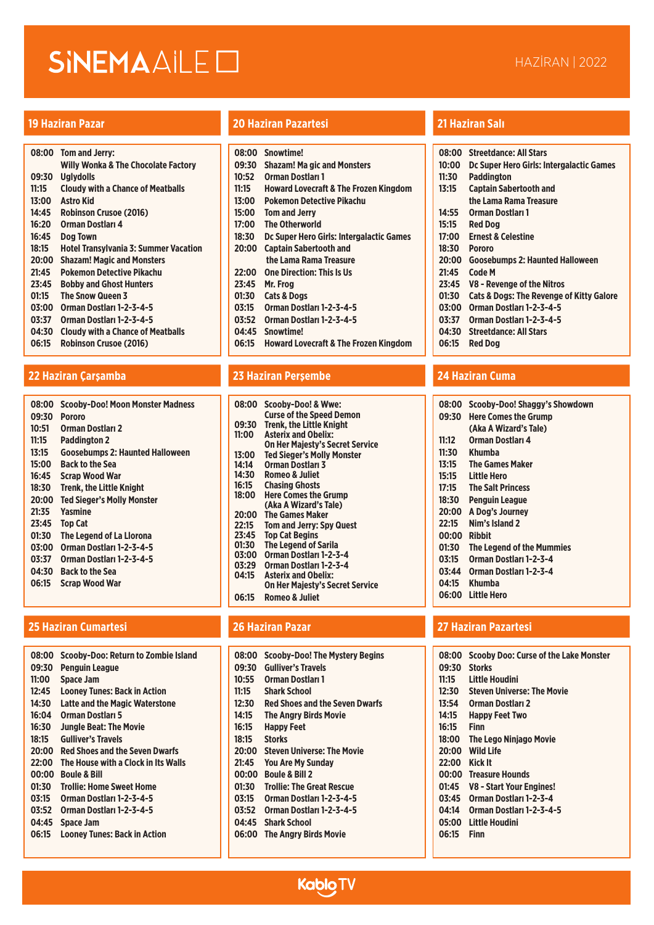| 08:00 | Tom and Jerry:                                 |
|-------|------------------------------------------------|
|       | <b>Willy Wonka &amp; The Chocolate Factory</b> |
| 09:30 | <b>Uglydolls</b>                               |
| 11:15 | <b>Cloudy with a Chance of Meatballs</b>       |
| 13:00 | <b>Astro Kid</b>                               |
| 14:45 | <b>Robinson Crusoe (2016)</b>                  |
| 16:20 | Orman Dostları 4                               |
| 16:45 | Dog Town                                       |
| 18:15 | <b>Hotel Transylvania 3: Summer Vacation</b>   |
| 20:00 | <b>Shazam! Magic and Monsters</b>              |
| 21:45 | Pokemon Detective Pikachu                      |
| 23:45 | <b>Bobby and Ghost Hunters</b>                 |
| 01:15 | <b>The Snow Queen 3</b>                        |
| 03:00 | Orman Dostları 1-2-3-4-5                       |
| 03:37 | Orman Dostları 1-2-3-4-5                       |
| 04:30 | <b>Cloudy with a Chance of Meatballs</b>       |
| 06:15 | <b>Robinson Crusoe (2016)</b>                  |

## **22 Haziran Çarşamba 23 Haziran Perşembe 24 Haziran Cuma**

| 08:00 | <b>Scooby-Doo! Moon Monster Madness</b> |
|-------|-----------------------------------------|
| 09:30 | Pororo                                  |
| 10:51 | <b>Orman Dostları 2</b>                 |
| 11:15 | <b>Paddington 2</b>                     |
| 13:15 | <b>Goosebumps 2: Haunted Halloween</b>  |
| 15:00 | <b>Back to the Sea</b>                  |
| 16:45 | Scrap Wood War                          |
| 18:30 | <b>Trenk. the Little Knight</b>         |
| 20:00 | <b>Ted Sieger's Molly Monster</b>       |
| 21:35 | Yasmine                                 |
| 23:45 | <b>Top Cat</b>                          |
| 01:30 | The Legend of La Llorona                |
| 03:00 | Orman Dostları 1-2-3-4-5                |
| 03:37 | Orman Dostları 1-2-3-4-5                |
| 04:30 | <b>Back to the Sea</b>                  |
| 06:15 | Scrap Wood War                          |
|       |                                         |

## **25 Haziran Cumartesi 26 Haziran Pazar 27 Haziran Pazartesi**

| 08:00 | Scooby-Doo: Return to Zombie Island   |
|-------|---------------------------------------|
| 09:30 | Penguin League                        |
| 11:00 | <b>Space Jam</b>                      |
| 12:45 | <b>Looney Tunes: Back in Action</b>   |
| 14:30 | <b>Latte and the Magic Waterstone</b> |
| 16:04 | Orman Dostları 5                      |
| 16:30 | <b>Jungle Beat: The Movie</b>         |
| 18:15 | <b>Gulliver's Travels</b>             |
| 20:00 | <b>Red Shoes and the Seven Dwarfs</b> |
| 22:00 | The House with a Clock in Its Walls   |
| 00:00 | <b>Boule &amp; Bill</b>               |
| 01:30 | Trollie: Home Sweet Home              |
| 03:15 | Orman Dostları 1-2-3-4-5              |
| 03:52 | Orman Dostları 1-2-3-4-5              |
| 04:45 | <b>Space Jam</b>                      |
| 06:15 | <b>Looney Tunes: Back in Action</b>   |
|       |                                       |

## **19 Haziran Pazar 20 Haziran Pazartesi 21 Haziran Salı**

|       | 08:00 Snowtime!                                  |
|-------|--------------------------------------------------|
| 09:30 | <b>Shazam! Ma gic and Monsters</b>               |
| 10:52 | <b>Orman Dostlari 1</b>                          |
| 11:15 | <b>Howard Lovecraft &amp; The Frozen Kingdom</b> |
| 13:00 | Pokemon Detective Pikachu                        |
| 15:00 | <b>Tom and Jerry</b>                             |
| 17:00 | <b>The Otherworld</b>                            |
| 18:30 | Dc Super Hero Girls: Intergalactic Games         |
| 20:00 | <b>Captain Sabertooth and</b>                    |
|       | the Lama Rama Treasure                           |
| 22:00 | <b>One Direction: This Is Us</b>                 |
| 23:45 | Mr. Frog                                         |
| 01:30 | <b>Cats &amp; Dogs</b>                           |
| 03:15 | Orman Dostları 1-2-3-4-5                         |
| 03:52 | Orman Dostları 1-2-3-4-5                         |
| 04:45 | Snowtime!                                        |
| 06:15 | <b>Howard Lovecraft &amp; The Frozen Kingdom</b> |
|       |                                                  |

| 08:00 | Scooby-Doo! & Wwe:                     |
|-------|----------------------------------------|
|       | <b>Curse of the Speed Demon</b>        |
| 09:30 | <b>Trenk, the Little Knight</b>        |
| 11:00 | <b>Asterix and Obelix:</b>             |
|       | <b>On Her Majesty's Secret Service</b> |
| 13:00 | <b>Ted Sieger's Molly Monster</b>      |
| 14:14 | <b>Orman Dostları 3</b>                |
| 14:30 | <b>Romeo &amp; Juliet</b>              |
| 16:15 | <b>Chasing Ghosts</b>                  |
| 18:00 | <b>Here Comes the Grump</b>            |
|       | (Aka A Wizard's Tale)                  |
| 20:00 | The Games Maker                        |
| 22:15 | <b>Tom and Jerry: Spy Quest</b>        |
| 23:45 | <b>Top Cat Begins</b>                  |
| 01:30 | <b>The Legend of Sarila</b>            |
| 03:00 | Orman Dostları 1-2-3-4                 |
| 03:29 | Orman Dostları 1-2-3-4                 |
| 04:15 | <b>Asterix and Obelix:</b>             |
|       | <b>On Her Majesty's Secret Service</b> |
| 06:15 | Romeo & Juliet                         |

| 08:00 | <b>Scooby-Doo! The Mystery Begins</b> |
|-------|---------------------------------------|
| 09:30 | Gulliver's Travels                    |
| 10:55 | <b>Orman Dostları 1</b>               |
| 11:15 | <b>Shark School</b>                   |
| 12:30 | <b>Red Shoes and the Seven Dwarfs</b> |
| 14:15 | <b>The Angry Birds Movie</b>          |
| 16:15 | <b>Happy Feet</b>                     |
| 18:15 | <b>Storks</b>                         |
| 20:00 | <b>Steven Universe: The Movie</b>     |
| 21:45 | <b>You Are My Sunday</b>              |
| 00:00 | <b>Boule &amp; Bill 2</b>             |
| 01:30 | <b>Trollie: The Great Rescue</b>      |
| 03:15 | Orman Dostları 1-2-3-4-5              |
| 03:52 | Orman Dostları 1-2-3-4-5              |
| 04:45 | <b>Shark School</b>                   |
| 06:00 | <b>The Angry Birds Movie</b>          |

| 08:00 | <b>Streetdance: All Stars</b>                       |
|-------|-----------------------------------------------------|
| 10:00 | Dc Super Hero Girls: Intergalactic Games            |
| 11:30 | Paddington                                          |
| 13:15 | <b>Captain Sabertooth and</b>                       |
|       | the Lama Rama Treasure                              |
| 14:55 | Orman Dostları 1                                    |
| 15:15 | <b>Red Dog</b>                                      |
| 17:00 | <b>Ernest &amp; Celestine</b>                       |
| 18:30 | <b>Pororo</b>                                       |
| 20:00 | <b>Goosebumps 2: Haunted Halloween</b>              |
| 21:45 | Code M                                              |
| 23:45 | V8 - Revenge of the Nitros                          |
| 01:30 | <b>Cats &amp; Dogs: The Revenge of Kitty Galore</b> |
| 03:00 | Orman Dostları 1-2-3-4-5                            |
| 03:37 | Orman Dostları 1-2-3-4-5                            |
| 04:30 | <b>Streetdance: All Stars</b>                       |
| 06:15 | <b>Red Dog</b>                                      |

| 08:00 | Scooby-Doo! Shaggy's Showdown |
|-------|-------------------------------|
| 09:30 | <b>Here Comes the Grump</b>   |
|       | (Aka A Wizard's Tale)         |
| 11:12 | Orman Dostları 4              |
| 11:30 | Khumba                        |
| 13:15 | <b>The Games Maker</b>        |
| 15:15 | Little Hero                   |
| 17:15 | <b>The Salt Princess</b>      |
| 18:30 | <b>Penguin League</b>         |
| 20:00 | A Dog's Journey               |
| 22:15 | Nim's Island 2                |
| 00:00 | Ribbit                        |
| 01:30 | The Legend of the Mummies     |
| 03:15 | Orman Dostları 1-2-3-4        |
| 03:44 | Orman Dostları 1-2-3-4        |
| 04:15 | Khumba                        |
| 06:00 | Little Hero                   |
|       |                               |

| 08:00 | <b>Scooby Doo: Curse of the Lake Monster</b> |
|-------|----------------------------------------------|
| 09:30 | <b>Storks</b>                                |
| 11:15 | Little Houdini                               |
| 12:30 | <b>Steven Universe: The Movie</b>            |
| 13:54 | <b>Orman Dostları 2</b>                      |
| 14:15 | <b>Happy Feet Two</b>                        |
| 16:15 | Finn                                         |
| 18:00 | The Lego Ninjago Movie                       |
| 20:00 | <b>Wild Life</b>                             |
| 22:00 | Kick It                                      |
| 00:00 | <b>Treasure Hounds</b>                       |
| 01:45 | V8 - Start Your Engines!                     |
| 03:45 | Orman Dostları 1-2-3-4                       |
| 04:14 | Orman Dostları 1-2-3-4-5                     |
| 05:00 | Little Houdini                               |
| 06:15 | Finn                                         |
|       |                                              |

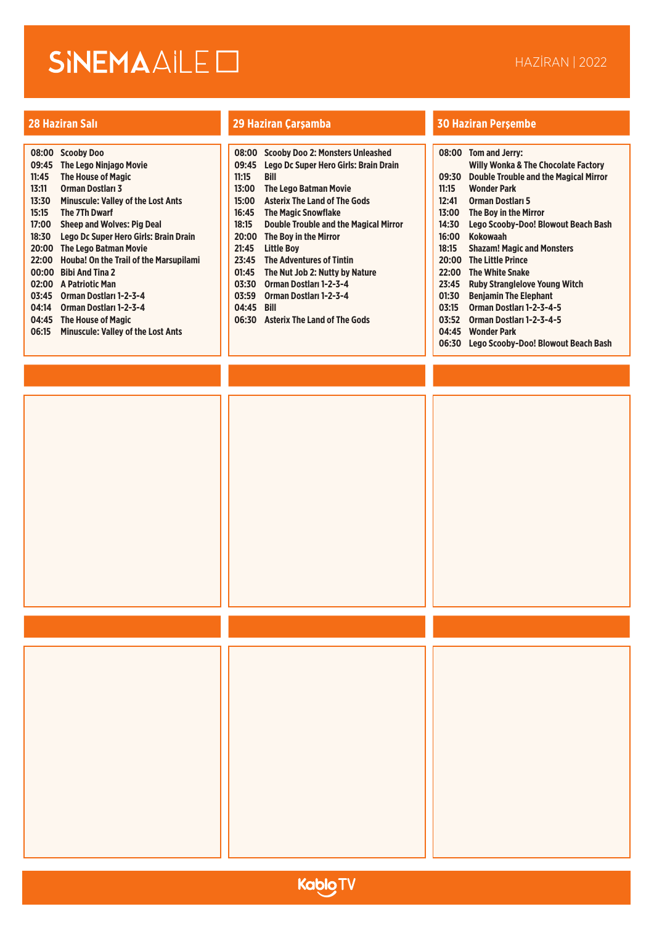|       | 08:00 Scooby Doo                             |       | 08:00 Scooby Doo 2: Monsters Unleashed       |
|-------|----------------------------------------------|-------|----------------------------------------------|
| 09:45 | <b>The Lego Ninjago Movie</b>                | 09:45 | Lego Dc Super Hero Girls: Brain Drain        |
| 11:45 | <b>The House of Magic</b>                    | 11:15 | Bill                                         |
| 13:11 | <b>Orman Dostlari 3</b>                      | 13:00 | <b>The Lego Batman Movie</b>                 |
| 13:30 | <b>Minuscule: Valley of the Lost Ants</b>    | 15:00 | <b>Asterix The Land of The Gods</b>          |
| 15:15 | The 7Th Dwarf                                | 16:45 | <b>The Magic Snowflake</b>                   |
| 17:00 | <b>Sheep and Wolves: Pig Deal</b>            | 18:15 | <b>Double Trouble and the Magical Mirror</b> |
| 18:30 | Lego Dc Super Hero Girls: Brain Drain        | 20:00 | The Boy in the Mirror                        |
|       | 20:00 The Lego Batman Movie                  | 21:45 | <b>Little Boy</b>                            |
|       | 22:00 Houba! On the Trail of the Marsupilami | 23:45 | <b>The Adventures of Tintin</b>              |
| 00:00 | <b>Bibi And Tina 2</b>                       | 01:45 | The Nut Job 2: Nutty by Nature               |
|       | 02:00 A Patriotic Man                        | 03:30 | Orman Dostları 1-2-3-4                       |
| 03:45 | Orman Dostları 1-2-3-4                       | 03:59 | Orman Dostları 1-2-3-4                       |
| 04:14 | Orman Dostları 1-2-3-4                       | 04:45 | <b>Bill</b>                                  |
|       | 04:45 The House of Magic                     | 06:30 | <b>Asterix The Land of The Gods</b>          |
| 06:15 | <b>Minuscule: Valley of the Lost Ants</b>    |       |                                              |
|       |                                              |       |                                              |

| ters Unleashed<br>Girls: Brain Drain |       | 08:00 Tom and Jerry:<br><b>Willy Wonka &amp; TI</b> |
|--------------------------------------|-------|-----------------------------------------------------|
|                                      | 09:30 | Double Trouble a                                    |
| ovie                                 | 11:15 | <b>Wonder Park</b>                                  |
| The Gods                             | 12:41 | <b>Orman Dostları 5</b>                             |
| 5                                    | 13:00 | The Boy in the Mi                                   |
| the Magical Mirror                   | 14:30 | Lego Scooby-Do                                      |
|                                      | 16:00 | <b>Kokowaah</b>                                     |
|                                      | 18:15 | Shazam! Magic a                                     |
| intin                                | 20:00 | <b>The Little Prince</b>                            |
| by Nature                            | 22:00 | <b>The White Snake</b>                              |
| $3 - 4$                              | 23:45 | <b>Ruby Strangleloy</b>                             |
| 3-4                                  | 01:30 | <b>Benjamin The Ele</b>                             |
|                                      | 03:15 | <b>Orman Dostlari 1</b>                             |
| The Gods                             | 03:52 | <b>Orman Dostlari 1</b>                             |
|                                      |       |                                                     |

| uo.uu | Tom and Jerry.                               |
|-------|----------------------------------------------|
|       | Willy Wonka & The Chocolate Factory          |
| 09:30 | <b>Double Trouble and the Magical Mirror</b> |
| 11:15 | <b>Wonder Park</b>                           |
| 12:41 | <b>Orman Dostlari 5</b>                      |
| 13:00 | The Boy in the Mirror                        |
| 14:30 | Lego Scooby-Doo! Blowout Beach Bash          |
| 16:00 | <b>Kokowaah</b>                              |
| 18:15 | <b>Shazam! Magic and Monsters</b>            |
| 20:00 | <b>The Little Prince</b>                     |
| 22:00 | <b>The White Snake</b>                       |
| 23:45 | <b>Ruby Stranglelove Young Witch</b>         |
| 01:30 | <b>Beniamin The Elephant</b>                 |
| 03:15 | Orman Dostları 1-2-3-4-5                     |
| 03:52 | Orman Dostları 1-2-3-4-5                     |

- **04:45 Wonder Park**
- **06:30 Lego Scooby-Doo! Blowout Beach Bash**

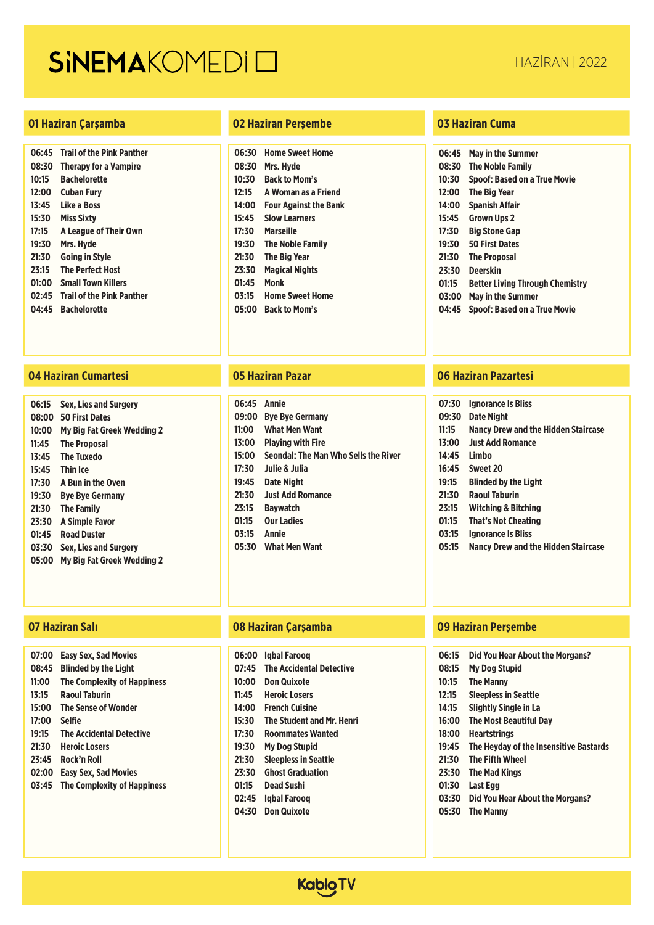### **01 Haziran Çarşamba 02 Haziran Perşembe 03 Haziran Cuma**

| 06:45 | <b>Trail of the Pink Panther</b> |
|-------|----------------------------------|
| 08:30 | <b>Therapy for a Vampire</b>     |
| 10:15 | <b>Bachelorette</b>              |
| 12:00 | Cuban Furv                       |
| 13:45 | Like a Boss                      |
| 15:30 | <b>Miss Sixty</b>                |
| 17:15 | A League of Their Own            |
| 19:30 | Mrs. Hyde                        |
| 21:30 | <b>Going in Style</b>            |
| 23:15 | <b>The Perfect Host</b>          |
| 01:00 | <b>Small Town Killers</b>        |
| 02:45 | <b>Trail of the Pink Panther</b> |
| 04:45 | <b>Bachelorette</b>              |

### **04 Haziran Cumartesi 05 Haziran Pazar 06 Haziran Pazartesi**

| 06:15 | <b>Sex, Lies and Surgery</b>      |
|-------|-----------------------------------|
| 08:00 | <b>50 First Dates</b>             |
| 10:00 | My Big Fat Greek Wedding 2        |
| 11:45 | <b>The Proposal</b>               |
| 13:45 | The Tuxedo                        |
| 15:45 | Thin Ice                          |
| 17:30 | A Bun in the Oven                 |
| 19:30 | <b>Bye Bye Germany</b>            |
| 21:30 | <b>The Family</b>                 |
| 23:30 | A Simple Favor                    |
| 01:45 | <b>Road Duster</b>                |
| 03:30 | <b>Sex. Lies and Surgery</b>      |
| 05:00 | <b>My Big Fat Greek Wedding 2</b> |
|       |                                   |

| 07:00 | <b>Easy Sex, Sad Movies</b>        |
|-------|------------------------------------|
| 08:45 | <b>Blinded by the Light</b>        |
| 11:00 | <b>The Complexity of Happiness</b> |
| 13:15 | <b>Raoul Taburin</b>               |
| 15:00 | The Sense of Wonder                |
| 17:00 | <b>Selfie</b>                      |
| 19:15 | <b>The Accidental Detective</b>    |
| 21:30 | <b>Heroic Losers</b>               |
| 23:45 | Rock'n Roll                        |
| 02:00 | <b>Easy Sex, Sad Movies</b>        |
| 03:45 | <b>The Complexity of Happiness</b> |
|       |                                    |

| 06:30 | <b>Home Sweet Home</b>       |
|-------|------------------------------|
| 08:30 | Mrs. Hyde                    |
| 10:30 | <b>Back to Mom's</b>         |
| 12:15 | A Woman as a Friend          |
| 14:00 | <b>Four Against the Bank</b> |
| 15:45 | <b>Slow Learners</b>         |
| 17:30 | Marseille                    |
| 19:30 | The Noble Family             |
| 21:30 | The Big Year                 |
| 23:30 | <b>Magical Nights</b>        |
| 01:45 | Monk                         |
| 03:15 | <b>Home Sweet Home</b>       |
| 05:00 | <b>Back to Mom's</b>         |

| 06:45 | Annie                                |
|-------|--------------------------------------|
| 09:00 | <b>Bye Bye Germany</b>               |
| 11:00 | <b>What Men Want</b>                 |
| 13:00 | <b>Plaving with Fire</b>             |
| 15:00 | Seondal: The Man Who Sells the River |
| 17:30 | Julie & Julia                        |
| 19:45 | <b>Date Night</b>                    |
| 21:30 | <b>Just Add Romance</b>              |
| 23:15 | <b>Bavwatch</b>                      |
| 01:15 | <b>Our Ladies</b>                    |
| 03:15 | Annie                                |
| 05:30 | <b>What Men Want</b>                 |
|       |                                      |

| 06:00 | labal Faroog                     |
|-------|----------------------------------|
| 07:45 | <b>The Accidental Detective</b>  |
| 10:00 | Don Quixote                      |
| 11:45 | <b>Heroic Losers</b>             |
| 14:00 | <b>French Cuisine</b>            |
| 15:30 | <b>The Student and Mr. Henri</b> |
| 17:30 | <b>Roommates Wanted</b>          |
| 19:30 | My Dog Stupid                    |
| 21:30 | <b>Sleepless in Seattle</b>      |
| 23:30 | <b>Ghost Graduation</b>          |
| 01:15 | <b>Dead Sushi</b>                |
| 02:45 | labal Faroog                     |
| 04:30 | <b>Don Quixote</b>               |
|       |                                  |

| 06:45 | May in the Summer                      |
|-------|----------------------------------------|
| 08:30 | <b>The Noble Family</b>                |
| 10:30 | <b>Spoof: Based on a True Movie</b>    |
| 12:00 | The Big Year                           |
| 14:00 | <b>Spanish Affair</b>                  |
| 15:45 | <b>Grown Ups 2</b>                     |
| 17:30 | Big Stone Gap                          |
| 19:30 | <b>50 First Dates</b>                  |
| 21:30 | <b>The Proposal</b>                    |
| 23:30 | <b>Deerskin</b>                        |
| 01:15 | <b>Better Living Through Chemistry</b> |
| 03:00 | May in the Summer                      |
| 04:45 | <b>Spoof: Based on a True Movie</b>    |

| 07:30 | <b>Ignorance Is Bliss</b>                  |
|-------|--------------------------------------------|
| 09:30 | Date Night                                 |
| 11:15 | Nancy Drew and the Hidden Staircase        |
| 13:00 | <b>Just Add Romance</b>                    |
| 14:45 | Limbo                                      |
| 16:45 | Sweet 20                                   |
| 19:15 | <b>Blinded by the Light</b>                |
| 21:30 | <b>Raoul Taburin</b>                       |
| 23:15 | Witching & Bitching                        |
| 01:15 | That's Not Cheating                        |
| 03:15 | <b>Ignorance Is Bliss</b>                  |
| 05:15 | <b>Nancy Drew and the Hidden Staircase</b> |
|       |                                            |

| 06:15 | Did You Hear About the Morgans?        |
|-------|----------------------------------------|
| 08:15 | <b>My Dog Stupid</b>                   |
| 10:15 | <b>The Manny</b>                       |
| 12:15 | <b>Sleepless in Seattle</b>            |
| 14:15 | <b>Slightly Single in La</b>           |
| 16:00 | <b>The Most Beautiful Day</b>          |
| 18:00 | <b>Heartstrings</b>                    |
| 19:45 | The Hevday of the Insensitive Bastards |
| 21:30 | <b>The Fifth Wheel</b>                 |
| 23:30 | <b>The Mad Kings</b>                   |
| 01:30 | Last Egg                               |
| 03:30 | Did You Hear About the Morgans?        |
| 05:30 | <b>The Manny</b>                       |

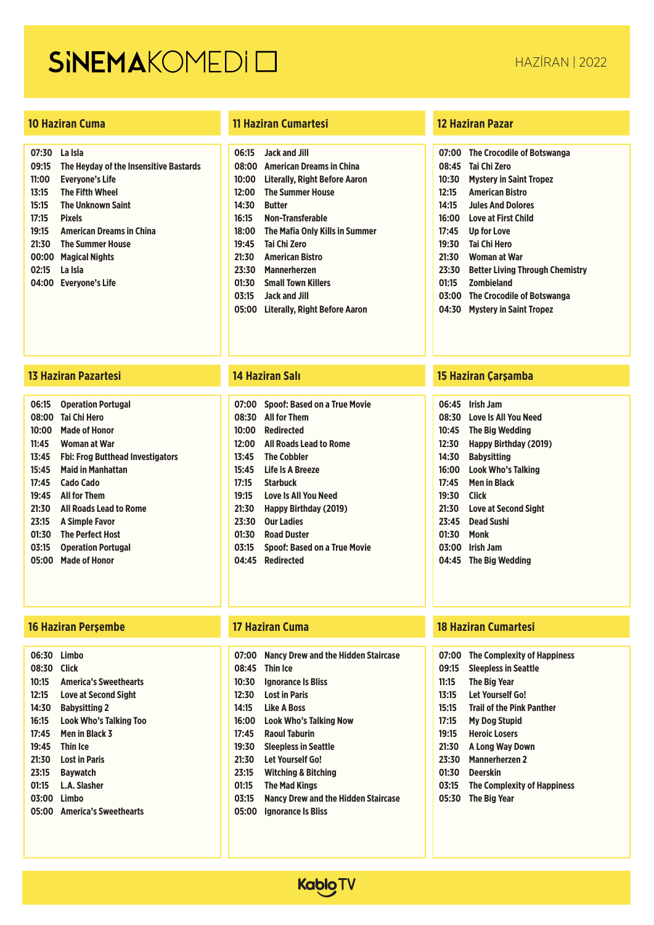| 07:30 | La Isla                                |
|-------|----------------------------------------|
| 09:15 | The Heyday of the Insensitive Bastards |
| 11:00 | Evervone's Life                        |
| 13:15 | <b>The Fifth Wheel</b>                 |
| 15:15 | <b>The Unknown Saint</b>               |
| 17:15 | <b>Pixels</b>                          |
| 19:15 | <b>American Dreams in China</b>        |
| 21:30 | <b>The Summer House</b>                |
| 00:00 | <b>Magical Nights</b>                  |
| 02:15 | La Isla                                |
| 04:00 | Evervone's Life                        |
|       |                                        |

### **10 Haziran Cuma 11 Haziran Cumartesi 12 Haziran Pazar**

| 06:15 | Jack and Jill                   |
|-------|---------------------------------|
| 08:00 | <b>American Dreams in China</b> |
| 10:00 | Literally, Right Before Aaron   |
| 12:00 | <b>The Summer House</b>         |
| 14:30 | <b>Butter</b>                   |
| 16:15 | Non-Transferable                |
| 18:00 | The Mafia Only Kills in Summer  |
| 19:45 | Tai Chi Zero                    |
| 21:30 | <b>American Ristro</b>          |
| 23:30 | <b>Mannerherzen</b>             |
| 01:30 | <b>Small Town Killers</b>       |
| 03:15 | <b>Jack and Jill</b>            |
| 05:00 | Literally, Right Before Aaron   |
|       |                                 |

### **13 Haziran Pazartesi 14 Haziran Salı 15 Haziran Çarşamba**

| 06:15 | <b>Operation Portugal</b>        |
|-------|----------------------------------|
| 08:00 | Tai Chi Hero                     |
| 10:00 | Made of Honor                    |
| 11:45 | Woman at War                     |
| 13:45 | Fbi: Frog Butthead Investigators |
| 15:45 | Maid in Manhattan                |
| 17:45 | Cado Cado                        |
| 19:45 | <b>All for Them</b>              |
| 21:30 | All Roads Lead to Rome           |
| 23:15 | <b>A Simple Favor</b>            |
| 01:30 | <b>The Perfect Host</b>          |
| 03:15 | <b>Operation Portugal</b>        |
| 05:00 | Made of Honor                    |
|       |                                  |

### **16 Haziran Perşembe 17 Haziran Cuma 18 Haziran Cumartesi**

| 06:30 | I imho                       |
|-------|------------------------------|
| 08:30 | <b>Click</b>                 |
| 10:15 | <b>America's Sweethearts</b> |
| 12:15 | Love at Second Sight         |
| 14:30 | <b>Babysitting 2</b>         |
| 16:15 | Look Who's Talking Too       |
| 17:45 | Men in Black 3               |
| 19:45 | Thin Ice                     |
| 21:30 | Lost in Paris                |
| 23:15 | <b>Baywatch</b>              |
| 01:15 | L.A. Slasher                 |
| 03:00 | I imho                       |
| 05:00 | <b>America's Sweethearts</b> |
|       |                              |

| 07:00 | <b>Spoof: Based on a True Movie</b> |
|-------|-------------------------------------|
|       | 08:30 All for Them                  |
| 10:00 | Redirected                          |
| 12:00 | All Roads Lead to Rome              |
| 13:45 | <b>The Cobbler</b>                  |
| 15:45 | Life Is A Breeze                    |
| 17:15 | <b>Starbuck</b>                     |
| 19:15 | Love Is All You Need                |
| 21:30 | Happy Birthday (2019)               |
| 23:30 | <b>Our Ladies</b>                   |
| 01:30 | <b>Road Duster</b>                  |
| 03:15 | <b>Spoof: Based on a True Movie</b> |
| 04:45 | <b>Redirected</b>                   |
|       |                                     |

| 07:00 | Nancy Drew and the Hidden Staircase        |
|-------|--------------------------------------------|
| 08:45 | <b>Thin Ice</b>                            |
| 10:30 | <b>Ignorance Is Bliss</b>                  |
| 12:30 | <b>Lost in Paris</b>                       |
| 14:15 | Like A Boss                                |
| 16:00 | Look Who's Talking Now                     |
| 17:45 | <b>Raoul Taburin</b>                       |
| 19:30 | <b>Sleepless in Seattle</b>                |
| 21:30 | Let Yourself Go!                           |
| 23:15 | <b>Witching &amp; Bitching</b>             |
| 01:15 | <b>The Mad Kings</b>                       |
| 03:15 | <b>Nancy Drew and the Hidden Staircase</b> |

**05:00 Ignorance Is Bliss**

| <b>The Crocodile of Botswanga</b>      |
|----------------------------------------|
| Tai Chi Zero                           |
| <b>Mystery in Saint Tropez</b>         |
| <b>American Ristro</b>                 |
| <b>Jules And Dolores</b>               |
| Love at First Child                    |
| Up for Love                            |
| Tai Chi Hero                           |
| Woman at War                           |
| <b>Better Living Through Chemistry</b> |
| <b>Zombieland</b>                      |
| The Crocodile of Botswanga             |
| <b>Mystery in Saint Tropez</b>         |
|                                        |

| 06:45 | <b>Irish Jam</b>             |
|-------|------------------------------|
| 08:30 | <b>Love Is All You Need</b>  |
| 10:45 | The Big Wedding              |
| 12:30 | <b>Happy Birthday (2019)</b> |
| 14:30 | <b>Babysitting</b>           |
| 16:00 | Look Who's Talking           |
| 17:45 | Men in Black                 |
| 19:30 | Click                        |
| 21:30 | <b>Love at Second Sight</b>  |
| 23:45 | <b>Dead Sushi</b>            |
| 01:30 | Monk                         |
| 03:00 | <b>Irish Jam</b>             |
| 04:45 | <b>The Big Wedding</b>       |

|       | 07:00 The Complexity of Happiness |
|-------|-----------------------------------|
| 09:15 | <b>Sleepless in Seattle</b>       |
| 11:15 | <b>The Big Year</b>               |
| 13:15 | <b>Let Yourself Go!</b>           |
| 15:15 | <b>Trail of the Pink Panther</b>  |
| 17:15 | <b>My Dog Stupid</b>              |
|       |                                   |

- **19:15 Heroic Losers**
- **21:30 A Long Way Down**
- **23:30 Mannerherzen 2**
- **01:30 Deerskin**
- **03:15 The Complexity of Happiness**
- **05:30 The Big Year**

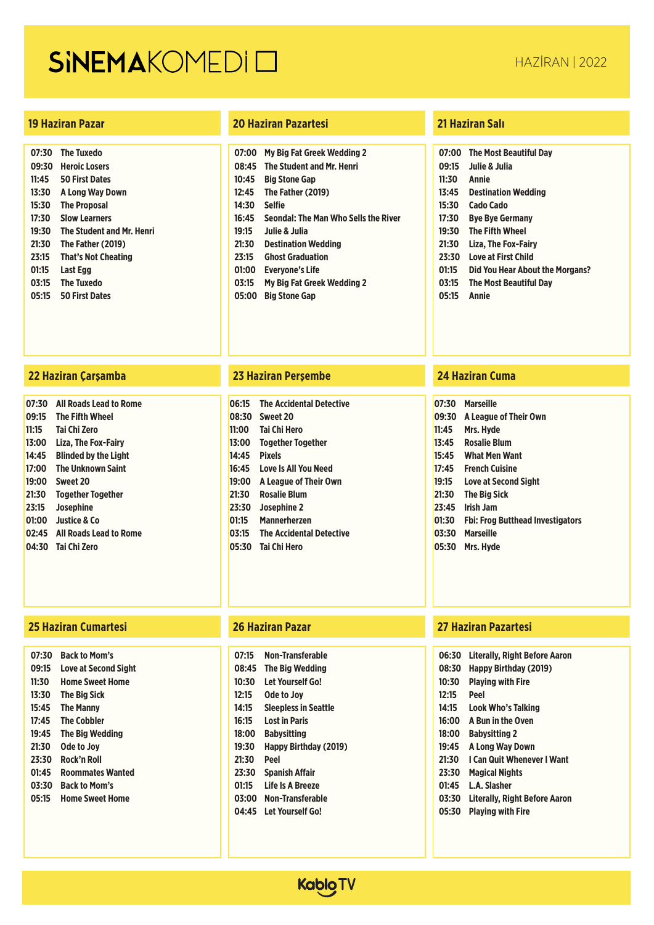| 07:30 | <b>The Tuxedo</b>                |
|-------|----------------------------------|
| 09:30 | <b>Heroic Losers</b>             |
| 11:45 | <b>50 First Dates</b>            |
| 13:30 | A Long Way Down                  |
| 15:30 | <b>The Proposal</b>              |
| 17:30 | <b>Slow Learners</b>             |
| 19:30 | <b>The Student and Mr. Henri</b> |
| 21:30 | The Father (2019)                |
| 23:15 | <b>That's Not Cheating</b>       |
| 01:15 | <b>Last Egg</b>                  |
| 03:15 | <b>The Tuxedo</b>                |
| 05:15 | <b>50 First Dates</b>            |
|       |                                  |

### **22 Haziran Çarşamba 23 Haziran Perşembe 24 Haziran Cuma**

| 07:30 | <b>All Roads Lead to Rome</b> |
|-------|-------------------------------|
| 09:15 | <b>The Fifth Wheel</b>        |
| 11:15 | <b>Tai Chi Zero</b>           |
| 13:00 | Liza, The Fox-Fairy           |
| 14:45 | <b>Blinded by the Light</b>   |
| 17:00 | <b>The Unknown Saint</b>      |
| 19:00 | Sweet 20                      |
| 21:30 | <b>Together Together</b>      |
| 23:15 | Josephine                     |
|       | 01:00 Justice & Co            |
|       | 02:45 All Roads Lead to Rome  |
| 04:30 | <b>Tai Chi Zero</b>           |

### **25 Haziran Cumartesi 26 Haziran Pazar 27 Haziran Pazartesi**

| 07:30 | <b>Back to Mom's</b>    |
|-------|-------------------------|
| 09:15 | Love at Second Sight    |
| 11:30 | Home Sweet Home         |
| 13:30 | The Big Sick            |
| 15:45 | The Manny               |
| 17:45 | <b>The Cobbler</b>      |
| 19:45 | The Big Wedding         |
| 21:30 | Ode to Jov              |
| 23:30 | Rock'n Roll             |
| 01:45 | <b>Roommates Wanted</b> |
| 03:30 | <b>Back to Mom's</b>    |
| 05:15 | <b>Home Sweet Home</b>  |
|       |                         |

### **19 Haziran Pazar 20 Haziran Pazartesi 21 Haziran Salı**

| 07:00 | <b>My Big Fat Greek Wedding 2</b>    |
|-------|--------------------------------------|
| 08:45 | <b>The Student and Mr. Henri</b>     |
| 10:45 | <b>Big Stone Gap</b>                 |
| 12:45 | The Father (2019)                    |
| 14:30 | <b>Selfie</b>                        |
| 16:45 | Seondal: The Man Who Sells the River |
| 19:15 | Julie & Julia                        |
| 21:30 | <b>Destination Wedding</b>           |
| 23:15 | <b>Ghost Graduation</b>              |
| 01:00 | <b>Everyone's Life</b>               |
| 03:15 | My Big Fat Greek Wedding 2           |
|       | .                                    |

**05:00 Big Stone Gap**

| 06:15 | <b>The Accidental Detective</b> |
|-------|---------------------------------|
|       | 08:30 Sweet 20                  |
| 11:00 | <b>Tai Chi Hero</b>             |
| 13:00 | <b>Together Together</b>        |
| 14:45 | Pixels                          |
| 16:45 | Love Is All You Need            |
| 19:00 | A League of Their Own           |
| 21:30 | <b>Rosalie Blum</b>             |
| 23:30 | Josephine 2                     |
| 01:15 | <b>Mannerherzen</b>             |
| 03:15 | <b>The Accidental Detective</b> |
| 05:30 | <b>Tai Chi Hero</b>             |
|       |                                 |

| 07:15 | Non-Transferable             |
|-------|------------------------------|
| 08:45 | The Big Wedding              |
| 10:30 | l et Yourself Go!            |
| 12:15 | Ode to Joy                   |
| 14:15 | <b>Sleepless in Seattle</b>  |
| 16:15 | l ost in Paris               |
| 18:00 | <b>Babysitting</b>           |
| 19:30 | <b>Happy Birthday (2019)</b> |
| 21:30 | Peel                         |
| 23:30 | <b>Spanish Affair</b>        |
| 01:15 | l ife Is A Breeze            |
| 03:00 | Non-Transferable             |
| 04:45 | Let Yourself Go!             |
|       |                              |

| 07:00 | <b>The Most Beautiful Day</b>   |
|-------|---------------------------------|
| 09:15 | Julie & Julia                   |
| 11:30 | Annie                           |
| 13:45 | <b>Destination Wedding</b>      |
| 15:30 | Cado Cado                       |
| 17:30 | <b>Bye Bye Germany</b>          |
| 19:30 | The Fifth Wheel                 |
| 21:30 | Liza. The Fox-Fairv             |
| 23:30 | I ove at First Child            |
| 01:15 | Did You Hear About the Morgans? |
| 03:15 | The Most Beautiful Dav          |
| 05:15 | Annie                           |

| 07:30 | <b>Marseille</b>                        |
|-------|-----------------------------------------|
| 09:30 | A League of Their Own                   |
| 11:45 | Mrs. Hyde                               |
| 13:45 | <b>Rosalie Blum</b>                     |
| 15:45 | <b>What Men Want</b>                    |
| 17:45 | <b>French Cuisine</b>                   |
| 19:15 | <b>Love at Second Sight</b>             |
| 21:30 | <b>The Big Sick</b>                     |
| 23:45 | Irish Jam                               |
| 01:30 | <b>Fbi: Frog Butthead Investigators</b> |
| 03:30 | <b>Marseille</b>                        |
| 05:30 | Mrs. Hyde                               |
|       |                                         |

| 06:30 | <b>Literally, Right Before Aaron</b> |
|-------|--------------------------------------|
| 08:30 | Happy Birthday (2019)                |
| 10:30 | <b>Playing with Fire</b>             |
| 12:15 | Peel                                 |
| 14:15 | <b>Look Who's Talking</b>            |
| 16:00 | A Bun in the Oven                    |
| 18:00 | <b>Babysitting 2</b>                 |
| 19:45 | A Long Way Down                      |
| 21:30 | I Can Quit Whenever I Want           |
| 23:30 | Magical Nights                       |
| 01:45 | <b>L.A. Slasher</b>                  |
| 03:30 | Literally. Right Before Aaron        |
| 05:30 | <b>Plaving with Fire</b>             |
|       |                                      |

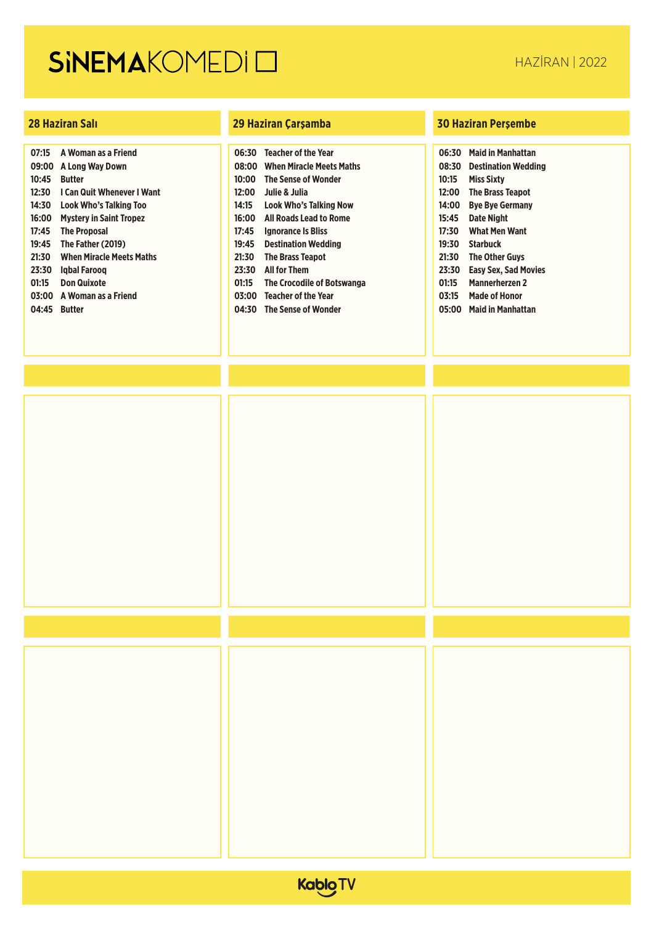| 07:15 | <b>A Woman as a Friend</b>      |
|-------|---------------------------------|
| 09:00 | A Long Way Down                 |
| 10:45 | <b>Butter</b>                   |
| 12:30 | I Can Quit Whenever I Want      |
| 14:30 | Look Who's Talking Too          |
| 16:00 | <b>Mystery in Saint Tropez</b>  |
| 17:45 | <b>The Proposal</b>             |
| 19:45 | The Father (2019)               |
| 21:30 | <b>When Miracle Meets Maths</b> |
| 23:30 | labal Faroog                    |
| 01:15 | <b>Don Quixote</b>              |
| 03:00 | A Woman as a Friend             |
| 04:45 | <b>Butter</b>                   |
|       |                                 |

| 06:30 | <b>Teacher of the Year</b>      |
|-------|---------------------------------|
| 08:00 | <b>When Miracle Meets Maths</b> |
| 10:00 | <b>The Sense of Wonder</b>      |
| 12:00 | Julie & Julia                   |
| 14:15 | <b>Look Who's Talking Now</b>   |
| 16:00 | All Roads Lead to Rome          |
| 17:45 | <b>Ignorance Is Bliss</b>       |
| 19:45 | <b>Destination Wedding</b>      |
| 21:30 | <b>The Brass Teapot</b>         |
| 23:30 | <b>All for Them</b>             |
| 01:15 | The Crocodile of Botswanga      |
| 03:00 | <b>Teacher of the Year</b>      |
| 04:30 | <b>The Sense of Wonder</b>      |

| 06:30 | <b>Maid in Manhattan</b>    |
|-------|-----------------------------|
| 08:30 | <b>Destination Wedding</b>  |
| 10:15 | <b>Miss Sixty</b>           |
| 12:00 | <b>The Brass Teapot</b>     |
| 14:00 | <b>Bye Bye Germany</b>      |
| 15:45 | Date Night                  |
| 17:30 | <b>What Men Want</b>        |
| 19:30 | Starbuck                    |
| 21:30 | <b>The Other Guvs</b>       |
| 23:30 | <b>Easy Sex, Sad Movies</b> |
| 01:15 | <b>Mannerherzen 2</b>       |
| 03:15 | <b>Made of Honor</b>        |
| 05:00 | Maid in Manhattan           |
|       |                             |



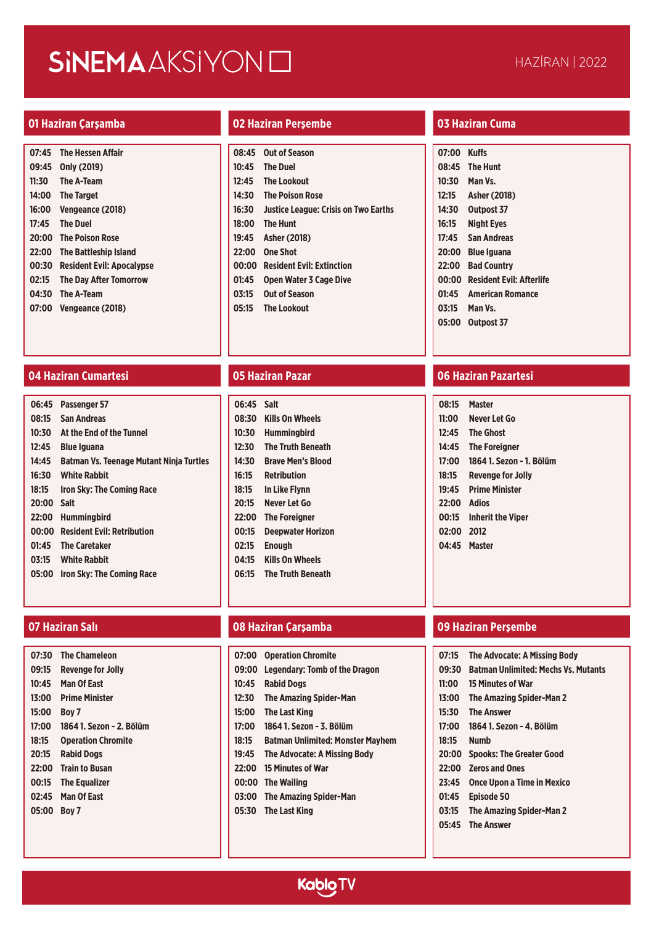### **01 Haziran Çarşamba 02 Haziran Perşembe 03 Haziran Cuma**

| 07:45 | <b>The Hessen Affair</b>         |
|-------|----------------------------------|
| 09:45 | Only (2019)                      |
| 11:30 | <b>The A-Team</b>                |
| 14:00 | <b>The Target</b>                |
| 16:00 | Vengeance (2018)                 |
| 17:45 | <b>The Duel</b>                  |
| 20:00 | <b>The Poison Rose</b>           |
| 22:00 | The Battleship Island            |
| 00:30 | <b>Resident Evil: Apocalypse</b> |
| 02:15 | The Day After Tomorrow           |
| 04:30 | The A-Team                       |
| 07:00 | Vengeance (2018)                 |

|       | 08:45 Out of Season                        |
|-------|--------------------------------------------|
|       | 10:45 The Duel                             |
|       | 12:45 The Lookout                          |
|       | 14:30 The Poison Rose                      |
|       | 16:30 Justice League: Crisis on Two Earths |
|       | 18:00 The Hunt                             |
|       | 19:45 Asher (2018)                         |
| 22:00 | <b>One Shot</b>                            |
|       | 00:00 Resident Evil: Extinction            |
| 01:45 | <b>Open Water 3 Cage Dive</b>              |
| 03:15 | <b>Out of Season</b>                       |
|       | 05:15 The Lookout                          |

| 07:00 | <b>Kuffs</b>                    |
|-------|---------------------------------|
| 08:45 | <b>The Hunt</b>                 |
| 10:30 | Man Vs.                         |
| 12:15 | <b>Asher (2018)</b>             |
| 14:30 | Outpost 37                      |
| 16:15 | <b>Night Eves</b>               |
| 17:45 | San Andreas                     |
| 20:00 | Blue Iguana                     |
| 22:00 | <b>Bad Country</b>              |
| 00:00 | <b>Resident Evil: Afterlife</b> |
| 01:45 | <b>American Romance</b>         |
| 03:15 | Man Vs.                         |
| 05:00 | Outpost 37                      |
|       |                                 |

### **04 Haziran Cumartesi 05 Haziran Pazar 06 Haziran Pazartesi**

| 06:45      | <b>Passenger 57</b>                            |
|------------|------------------------------------------------|
| 08:15      | San Andreas                                    |
| 10:30      | At the End of the Tunnel                       |
| 12:45      | <b>Blue Iguana</b>                             |
| 14:45      | <b>Batman Vs. Teenage Mutant Ninja Turtles</b> |
| 16:30      | <b>White Rabbit</b>                            |
| 18:15      | <b>Iron Sky: The Coming Race</b>               |
| 20:00 Salt |                                                |
| 22:00      | <b>Hummingbird</b>                             |
| 00:00      | <b>Resident Evil: Retribution</b>              |
|            | 01:45 The Caretaker                            |
|            | 03:15 White Rabbit                             |
| 05:00      | Iron Sky: The Coming Race                      |
|            |                                                |

| 07:30 | <b>The Chameleon</b>      |
|-------|---------------------------|
| 09:15 | <b>Revenge for Jolly</b>  |
| 10:45 | <b>Man Of East</b>        |
| 13:00 | <b>Prime Minister</b>     |
| 15:00 | Boy 7                     |
| 17:00 | 1864 1. Sezon - 2. Bölüm  |
| 18:15 | <b>Operation Chromite</b> |
| 20:15 | <b>Rabid Dogs</b>         |
| 22:00 | <b>Train to Busan</b>     |
| 00:15 | <b>The Equalizer</b>      |
| 02:45 | <b>Man Of East</b>        |
| 05:00 | Boy 7                     |
|       |                           |

| 06:45 | <b>Salt</b>              |
|-------|--------------------------|
| 08:30 | <b>Kills On Wheels</b>   |
| 10:30 | Humminabird              |
| 12:30 | <b>The Truth Beneath</b> |
| 14:30 | <b>Brave Men's Blood</b> |
| 16:15 | <b>Retribution</b>       |
| 18:15 | <b>In Like Flynn</b>     |
| 20:15 | Never Let Go             |
| 22:00 | <b>The Foreigner</b>     |
| 00:15 | <b>Deepwater Horizon</b> |
| 02:15 | <b>Enough</b>            |
|       | 04:15 Kills On Wheels    |
|       | 06:15 The Truth Beneath  |
|       |                          |

### **07 Haziran Salı 08 Haziran Çarşamba 09 Haziran Perşembe**

| 07:00 | <b>Operation Chromite</b>               |
|-------|-----------------------------------------|
|       | 09:00 Legendary: Tomb of the Dragon     |
| 10:45 | <b>Rabid Dogs</b>                       |
| 12:30 | <b>The Amazing Spider-Man</b>           |
| 15:00 | <b>The Last King</b>                    |
| 17:00 | 1864 1. Sezon - 3. Bölüm                |
| 18:15 | <b>Batman Unlimited: Monster Mayhem</b> |
|       | 19:45 The Advocate: A Missing Body      |
|       | 22:00 15 Minutes of War                 |
|       | 00:00 The Wailing                       |
|       | 03:00 The Amazing Spider-Man            |
|       |                                         |

### **05:30 The Last King**

| 08:15        | <b>Master</b>            |
|--------------|--------------------------|
| 11:00        | Never Let Go             |
| 12:45        | <b>The Ghost</b>         |
| 14:45        | <b>The Foreigner</b>     |
| 17:00        | 1864 1. Sezon - 1. Bölüm |
| 18:15        | <b>Revenge for Jolly</b> |
| 19:45        | <b>Prime Minister</b>    |
| 22:00 Adios  |                          |
| 00:15        | <b>Inherit the Viper</b> |
| 02:00        | 2012                     |
| 04:45 Master |                          |
|              |                          |
|              |                          |

| 07:15 | <b>The Advocate: A Missing Body</b>        |
|-------|--------------------------------------------|
| 09:30 | <b>Batman Unlimited: Mechs Vs. Mutants</b> |
| 11:00 | <b>15 Minutes of War</b>                   |
| 13:00 | The Amazing Spider-Man 2                   |
| 15:30 | <b>The Answer</b>                          |
|       | 17:00 1864 1. Sezon - 4. Bölüm             |
| 18:15 | <b>Numb</b>                                |
| 20:00 | <b>Spooks: The Greater Good</b>            |
| 22:00 | <b>Zeros and Ones</b>                      |
| 23:45 | <b>Once Upon a Time in Mexico</b>          |
| 01:45 | <b>Episode 50</b>                          |
|       | 03:15 The Amazing Spider-Man 2             |
|       | 05:45 The Answer                           |

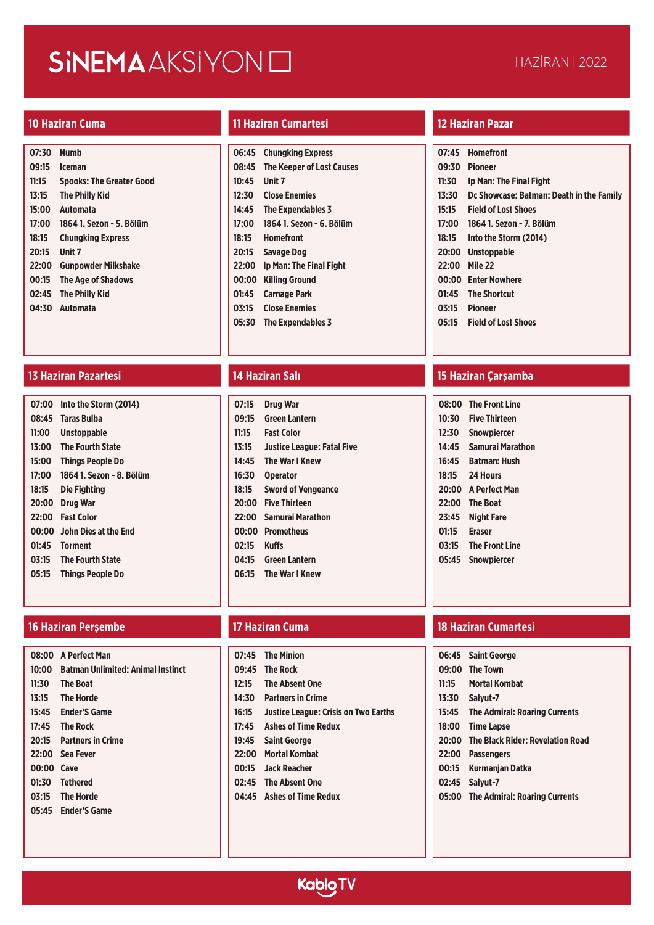| 07:30 | <b>Numb</b>                     |
|-------|---------------------------------|
| 09:15 | <b>Iceman</b>                   |
| 11:15 | <b>Spooks: The Greater Good</b> |
| 13:15 | The Philly Kid                  |
| 15:00 | <b>Automata</b>                 |
| 17:00 | 1864 1. Sezon - 5. Bölüm        |
| 18:15 | <b>Chungking Express</b>        |
| 20:15 | Unit 7                          |
| 22:00 | <b>Gunpowder Milkshake</b>      |
| 00:15 | <b>The Age of Shadows</b>       |
| 02:45 | <b>The Philly Kid</b>           |
|       | 04:30 Automata                  |
|       |                                 |

### **13 Haziran Pazartesi 14 Haziran Salı 15 Haziran Çarşamba**

| 07:00 | Into the Storm (2014)      |
|-------|----------------------------|
|       | 08:45 Taras Bulba          |
| 11:00 | <b>Unstoppable</b>         |
| 13:00 | <b>The Fourth State</b>    |
| 15:00 | <b>Things People Do</b>    |
| 17:00 | 1864 1. Sezon - 8. Bölüm   |
| 18:15 | Die Fighting               |
| 20:00 | Drug War                   |
| 22:00 | <b>Fast Color</b>          |
|       | 00:00 John Dies at the End |
| 01:45 | <b>Torment</b>             |
| 03:15 | <b>The Fourth State</b>    |
| 05:15 | <b>Things People Do</b>    |
|       |                            |

|            | 08:00 A Perfect Man                     |
|------------|-----------------------------------------|
|            | 10:00 Batman Unlimited: Animal Instinct |
|            | 11:30 The Boat                          |
|            | 13:15 The Horde                         |
|            | 15:45 Ender'S Game                      |
|            | 17:45 The Rock                          |
|            | 20:15 Partners in Crime                 |
|            | 22:00 Sea Fever                         |
| 00:00 Cave |                                         |
|            | 01:30 Tethered                          |
|            | 03:15 The Horde                         |
|            | 05:45 Ender'S Game                      |
|            |                                         |

### **10 Haziran Cuma 11 Haziran Cumartesi 12 Haziran Pazar**

| 06:45 | <b>Chungking Express</b>         |
|-------|----------------------------------|
| 08:45 | <b>The Keeper of Lost Causes</b> |
| 10:45 | Unit 7                           |
| 12:30 | <b>Close Enemies</b>             |
| 14:45 | <b>The Expendables 3</b>         |
| 17:00 | 1864 1. Sezon - 6. Bölüm         |
| 18:15 | <b>Homefront</b>                 |
| 20:15 | <b>Savage Dog</b>                |
| 22:00 | Ip Man: The Final Fight          |
| 00:00 | <b>Killing Ground</b>            |
| 01:45 | <b>Carnage Park</b>              |
| 03:15 | <b>Close Enemies</b>             |
| 05:30 | <b>The Expendables 3</b>         |

| 07:15 | <b>Drug War</b>                   |
|-------|-----------------------------------|
| 09:15 | <b>Green Lantern</b>              |
| 11:15 | <b>Fast Color</b>                 |
| 13:15 | <b>Justice League: Fatal Five</b> |
| 14:45 | The War I Knew                    |
| 16:30 | <b>Operator</b>                   |
| 18:15 | <b>Sword of Vengeance</b>         |
| 20:00 | <b>Five Thirteen</b>              |
| 22:00 | Samurai Marathon                  |
| 00:00 | <b>Prometheus</b>                 |
| 02:15 | <b>Kuffs</b>                      |
|       | 04:15 Green Lantern               |
|       | 06:15 The War I Knew              |
|       |                                   |

| 07:45 | <b>The Minion</b> |
|-------|-------------------|
|       | 09:45 The Rock    |

- **12:15 The Absent One**
- **14:30 Partners in Crime**
- **16:15 Justice League: Crisis on Two Earths**
- **17:45 Ashes of Time Redux**
- **19:45 Saint George**
- **22:00 Mortal Kombat**
- **00:15 Jack Reacher**
- **02:45 The Absent One**
- **04:45 Ashes of Time Redux**

| 07:45 | <b>Homefront</b>                         |
|-------|------------------------------------------|
| 09:30 | Pioneer                                  |
| 11:30 | Ip Man: The Final Fight                  |
| 13:30 | Dc Showcase: Batman: Death in the Family |
| 15:15 | <b>Field of Lost Shoes</b>               |
| 17:00 | 1864 1. Sezon - 7. Bölüm                 |
| 18:15 | Into the Storm (2014)                    |
| 20:00 | <b>Unstoppable</b>                       |
| 22:00 | Mile 22                                  |
| 00:00 | <b>Enter Nowhere</b>                     |
| 01:45 | <b>The Shortcut</b>                      |
| 03:15 | Pioneer                                  |
| 05:15 | <b>Field of Lost Shoes</b>               |
|       |                                          |

| 08:00 | <b>The Front Line</b> |
|-------|-----------------------|
| 10:30 | Five Thirteen         |
| 12:30 | <b>Snowpiercer</b>    |
| 14:45 | Samurai Marathon      |
| 16:45 | <b>Batman: Hush</b>   |
| 18:15 | 24 Hours              |
|       | 20:00 A Perfect Man   |
| 22:00 | <b>The Boat</b>       |
| 23:45 | Night Fare            |
| 01:15 | <b>Eraser</b>         |
| 03:15 | <b>The Front Line</b> |
| 05:45 | <b>Snowpiercer</b>    |
|       |                       |

### **16 Haziran Perşembe 17 Haziran Cuma 18 Haziran Cumartesi**

|       | 06:45 Saint George                     |
|-------|----------------------------------------|
|       | 09:00 The Town                         |
| 11:15 | <b>Mortal Kombat</b>                   |
|       | 13:30 Salyut-7                         |
|       | 15:45 The Admiral: Roaring Currents    |
|       | 18:00 Time Lapse                       |
|       | 20:00 The Black Rider: Revelation Road |
|       | 22:00 Passengers                       |
|       | 00:15 Kurmanjan Datka                  |
|       | 02:45 Salyut-7                         |
|       | 05:00 The Admiral: Roaring Currents    |

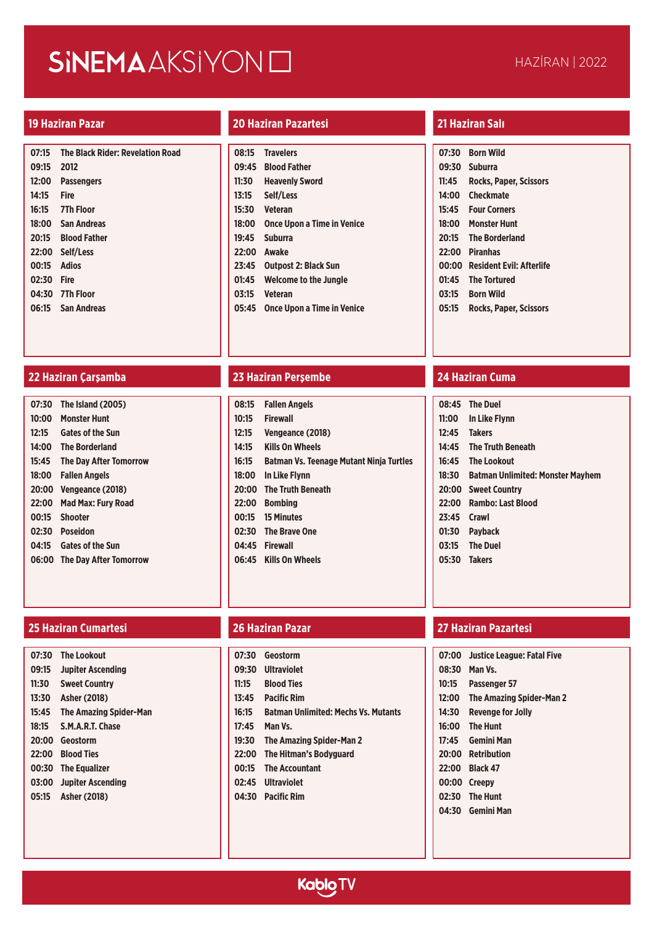| 07:15 | <b>The Black Rider: Revelation Road</b> |
|-------|-----------------------------------------|
| 09:15 | 2012                                    |
| 12:00 | <b>Passengers</b>                       |
| 14:15 | Fire                                    |
|       | 16:15 7Th Floor                         |
|       | 18:00 San Andreas                       |
| 20:15 | <b>Blood Father</b>                     |
|       | 22:00 Self/Less                         |
| 00:15 | Adios                                   |
| 02:30 | Fire                                    |
|       | 04:30 7Th Floor                         |
|       | 06:15 San Andreas                       |
|       |                                         |

### **19 Haziran Pazar 20 Haziran Pazartesi 21 Haziran Salı**

| 08:15 | <b>Travelers</b>                  |
|-------|-----------------------------------|
| 09:45 | <b>Blood Father</b>               |
| 11:30 | <b>Heavenly Sword</b>             |
| 13:15 | Self/Less                         |
| 15:30 | <b>Veteran</b>                    |
| 18:00 | <b>Once Upon a Time in Venice</b> |
| 19:45 | <b>Suburra</b>                    |
| 22:00 | <b>Awake</b>                      |
| 23:45 | <b>Outpost 2: Black Sun</b>       |
| 01:45 | <b>Welcome to the Jungle</b>      |
| 03:15 | <b>Veteran</b>                    |
| 05:45 | <b>Once Upon a Time in Venice</b> |

|       | 07:30 Born Wild                |
|-------|--------------------------------|
|       | 09:30 Suburra                  |
| 11:45 | <b>Rocks, Paper, Scissors</b>  |
|       | 14:00 Checkmate                |
|       | 15:45 Four Corners             |
|       | 18:00 Monster Hunt             |
|       | 20:15 The Borderland           |
|       | 22:00 Piranhas                 |
|       | 00:00 Resident Evil: Afterlife |
|       | 01:45 The Tortured             |
|       | 03:15 Born Wild                |
|       | 05:15 Rocks, Paper, Scissors   |
|       |                                |

| 07:30 | The Island (2005)             |
|-------|-------------------------------|
| 10:00 | <b>Monster Hunt</b>           |
| 12:15 | <b>Gates of the Sun</b>       |
| 14:00 | <b>The Borderland</b>         |
| 15:45 | <b>The Day After Tomorrow</b> |
| 18:00 | <b>Fallen Angels</b>          |
| 20:00 | Vengeance (2018)              |
| 22:00 | <b>Mad Max: Fury Road</b>     |
| 00:15 | <b>Shooter</b>                |
| 02:30 | Poseidon                      |
| 04:15 | <b>Gates of the Sun</b>       |
| 06:00 | <b>The Day After Tomorrow</b> |
|       |                               |

### **25 Haziran Cumartesi 26 Haziran Pazar 27 Haziran Pazartesi**

| 07:30 | <b>The Lookout</b>            |
|-------|-------------------------------|
| 09:15 | <b>Jupiter Ascending</b>      |
| 11:30 | <b>Sweet Country</b>          |
| 13:30 | Asher (2018)                  |
| 15:45 | <b>The Amazing Spider-Man</b> |
| 18:15 | <b>S.M.A.R.T. Chase</b>       |
| 20:00 | Geostorm                      |
| 22:00 | <b>Blood Ties</b>             |
| 00:30 | <b>The Equalizer</b>          |
| 03:00 | <b>Jupiter Ascending</b>      |
| 05:15 | <b>Asher (2018)</b>           |
|       |                               |

### **22 Haziran Çarşamba 23 Haziran Perşembe 24 Haziran Cuma**

|       | 08:15 Fallen Angels                            |
|-------|------------------------------------------------|
| 10:15 | <b>Firewall</b>                                |
| 12:15 | Vengeance (2018)                               |
| 14:15 | <b>Kills On Wheels</b>                         |
| 16:15 | <b>Batman Vs. Teenage Mutant Ninja Turtles</b> |
|       | 18:00 In Like Flynn                            |
|       | 20:00 The Truth Beneath                        |
|       | 22:00 Bombing                                  |
|       | 00:15 15 Minutes                               |
|       | 02:30 The Brave One                            |
|       | 04:45 Firewall                                 |
|       | 06:45 Kills On Wheels                          |

- **07:30 Geostorm**
- **09:30 Ultraviolet**
- **11:15 Blood Ties**
- **13:45 Pacific Rim**
- **16:15 Batman Unlimited: Mechs Vs. Mutants**
- **17:45 Man Vs.**
- **19:30 The Amazing Spider-Man 2**
- **22:00 The Hitman's Bodyguard**
- **00:15 The Accountant**
- **02:45 Ultraviolet**
- **04:30 Pacific Rim**

|             | 08:45 The Duel                         |
|-------------|----------------------------------------|
|             | 11:00 In Like Flynn                    |
|             | 12:45 Takers                           |
|             | 14:45 The Truth Beneath                |
|             | 16:45 The Lookout                      |
|             | 18:30 Batman Unlimited: Monster Mayhem |
|             | 20:00 Sweet Country                    |
| 22:00       | <b>Rambo: Last Blood</b>               |
| 23:45 Crawl |                                        |
|             | 01:30 Pavback                          |
|             | 03:15 The Duel                         |
|             | 05:30 Takers                           |
|             |                                        |

| 07:00 | Justice League: Fatal Five |
|-------|----------------------------|
| 08:30 | Man Vs.                    |
| 10:15 | Passenger 57               |
| 12:00 | The Amazing Spider-Man 2   |
| 14:30 | <b>Revenge for Jolly</b>   |
| 16:00 | <b>The Hunt</b>            |
| 17:45 | <b>Gemini Man</b>          |
| 20:00 | <b>Retribution</b>         |
| 22:00 | <b>Black 47</b>            |
|       | 00:00 Creepy               |
| 02:30 | <b>The Hunt</b>            |
| 04:30 | <b>Gemini Man</b>          |

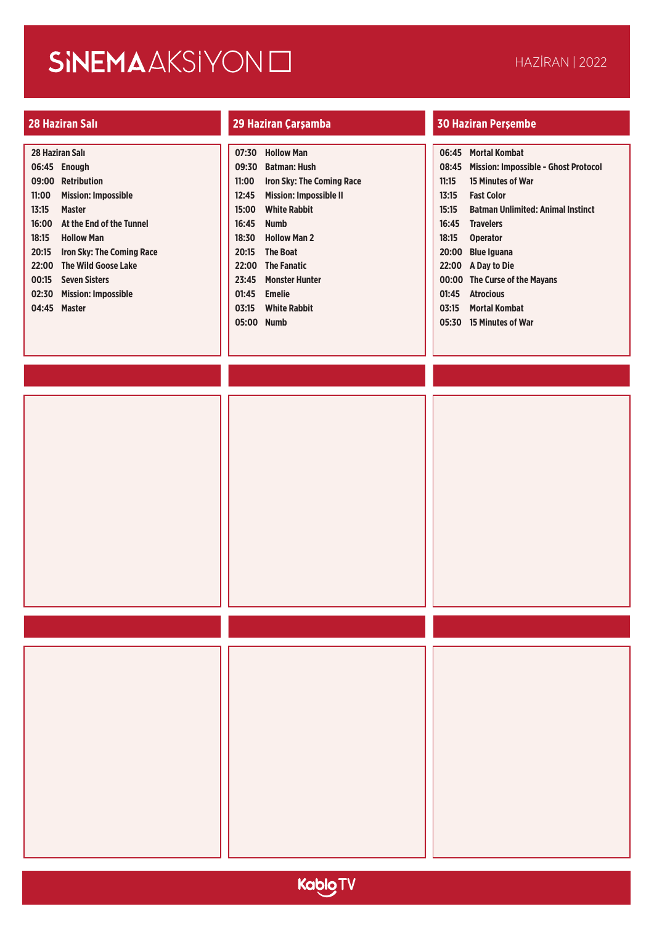| 28 Haziran Salı<br>06:45 Enough<br>09:00 Retribution<br>11:00<br><b>Mission: Impossible</b><br>13:15<br><b>Master</b><br>16:00<br>At the End of the Tunnel<br>18:15<br><b>Hollow Man</b><br>20:15 Iron Sky: The Coming Race<br>22:00 The Wild Goose Lake<br>00:15 Seven Sisters<br>02:30 Mission: Impossible<br>04:45 Master | 07:30 Hollow Man<br><b>Batman: Hush</b><br>09:30<br>Iron Sky: The Coming Race<br>11:00<br><b>Mission: Impossible II</b><br>12:45<br><b>White Rabbit</b><br>15:00<br>16:45<br><b>Numb</b><br><b>Hollow Man 2</b><br>18:30<br>20:15 The Boat<br>22:00 The Fanatic<br>23:45 Monster Hunter<br>01:45 Emelie<br><b>White Rabbit</b><br>03:15<br>05:00 Numb | 06:45 Mortal Kombat<br>08:45 Mission: Impossible - Ghost Protocol<br>15 Minutes of War<br>11:15<br><b>Fast Color</b><br>13:15<br>15:15<br><b>Batman Unlimited: Animal Instinct</b><br>16:45 Travelers<br>18:15<br><b>Operator</b><br>20:00 Blue Iguana<br>22:00 A Day to Die<br>00:00 The Curse of the Mayans<br>01:45 Atrocious<br>03:15 Mortal Kombat<br>05:30 15 Minutes of War |
|------------------------------------------------------------------------------------------------------------------------------------------------------------------------------------------------------------------------------------------------------------------------------------------------------------------------------|-------------------------------------------------------------------------------------------------------------------------------------------------------------------------------------------------------------------------------------------------------------------------------------------------------------------------------------------------------|------------------------------------------------------------------------------------------------------------------------------------------------------------------------------------------------------------------------------------------------------------------------------------------------------------------------------------------------------------------------------------|
|                                                                                                                                                                                                                                                                                                                              |                                                                                                                                                                                                                                                                                                                                                       |                                                                                                                                                                                                                                                                                                                                                                                    |
|                                                                                                                                                                                                                                                                                                                              |                                                                                                                                                                                                                                                                                                                                                       |                                                                                                                                                                                                                                                                                                                                                                                    |
|                                                                                                                                                                                                                                                                                                                              |                                                                                                                                                                                                                                                                                                                                                       |                                                                                                                                                                                                                                                                                                                                                                                    |

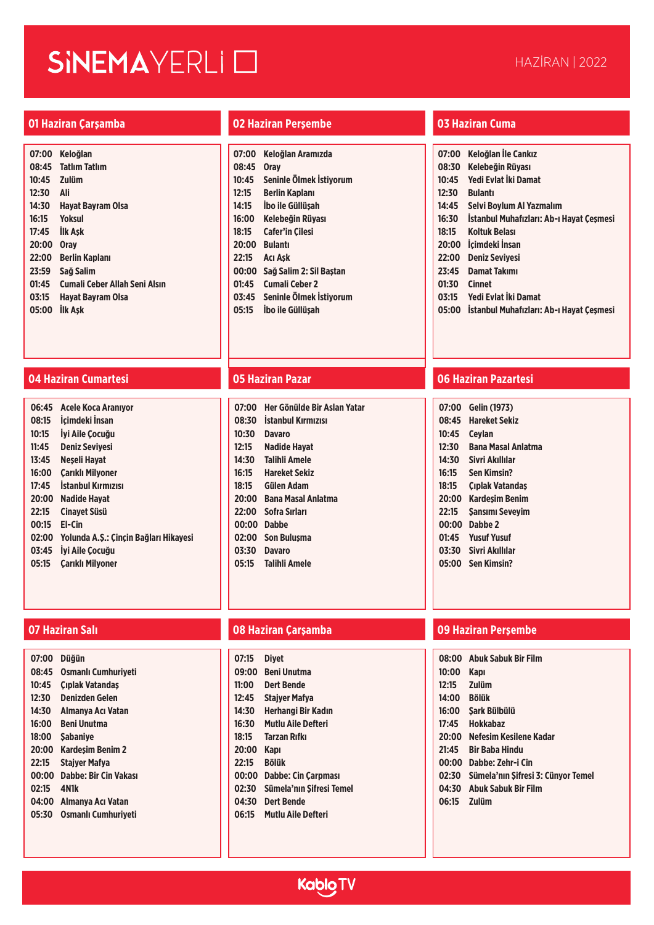# SINEMAYERLI O

### **01 Haziran Çarşamba 02 Haziran Perşembe 03 Haziran Cuma**

| 07:00 | Keloğlan                      |
|-------|-------------------------------|
| 08:45 | <b>Tatlım Tatlım</b>          |
| 10:45 | <b>Zulüm</b>                  |
| 12:30 | Ali                           |
| 14:30 | Havat Bavram Olsa             |
| 16:15 | Yoksul                        |
| 17:45 | <b>IIk Ask</b>                |
| 20:00 | <b>Orav</b>                   |
| 22:00 | Berlin Kaplanı                |
| 23:59 | Sağ Salim                     |
| 01:45 | Cumali Ceber Allah Seni Alsın |
| 03:15 | Havat Bavram Olsa             |
| 05:00 | <b>IIk Ask</b>                |

## **04 Haziran Cumartesi 05 Haziran Pazar 06 Haziran Pazartesi**

| 06:45 | Acele Koca Aranıyor                   |
|-------|---------------------------------------|
| 08:15 | İcimdeki İnsan                        |
| 10:15 | Ivi Aile Cocuău                       |
| 11:45 | <b>Deniz Sevivesi</b>                 |
| 13:45 | Neseli Havat                          |
| 16:00 | Carıklı Milvoner                      |
| 17:45 | <b>Istanbul Kırmızısı</b>             |
| 20:00 | Nadide Havat                          |
| 22:15 | Cinavet Süsü                          |
| 00:15 | FI-Cin                                |
| 02:00 | Yolunda A.Ş.: Çinçin Bağları Hikayesi |
| 03:45 | Ivi Aile Cocuău                       |
| 05:15 | <b>Carikli Milyoner</b>               |
|       |                                       |

| 07:00 | <b>Düğün</b>                 |
|-------|------------------------------|
| 08:45 | <b>Osmanlı Cumhuriveti</b>   |
| 10:45 | Cıplak Vatandaş              |
| 12:30 | <b>Denizden Gelen</b>        |
| 14:30 | Almanya Acı Vatan            |
| 16:00 | <b>Beni Unutma</b>           |
| 18:00 | <b>Sabanive</b>              |
| 20:00 | <b>Kardesim Benim 2</b>      |
| 22:15 | <b>Staiver Mafva</b>         |
| 00:00 | <b>Dabbe: Bir Cin Vakası</b> |
| 02:15 | 4N1k                         |
| 04:00 | Almanya Acı Vatan            |
| 05:30 | <b>Osmanlı Cumhuriveti</b>   |
|       |                              |

| 07:00 | Keloğlan Aramızda       |
|-------|-------------------------|
| 08:45 | <b>Orav</b>             |
| 10:45 | Seninle Ölmek İstivorum |
| 12:15 | <b>Berlin Kaplanı</b>   |
| 14:15 | İbo ile Güllüsah        |
| 16:00 | Kelebeğin Rüyası        |
| 18:15 | <b>Cafer'in Cilesi</b>  |
| 20:00 | <b>Bulanti</b>          |
| 22:15 | <b>Aci Ask</b>          |
| 00:00 | Sağ Salim 2: Sil Baştan |
| 01:45 | Cumali Ceber 2          |
| 03:45 | Seninle Ölmek İstivorum |
| 05:15 | Ibo ile Güllüsah        |
|       |                         |

| 07:00 | Her Gönülde Bir Aslan Yatar |
|-------|-----------------------------|
| 08:30 | <b>Istanbul Kırmızısı</b>   |
| 10:30 | <b>Davaro</b>               |
| 12:15 | Nadide Hayat                |
| 14:30 | <b>Talihli Amele</b>        |
| 16:15 | <b>Hareket Sekiz</b>        |
| 18:15 | Gülen Adam                  |
| 20:00 | <b>Bana Masal Anlatma</b>   |
| 22:00 | Sofra Sırları               |
| 00:00 | <b>Dabbe</b>                |
| 02:00 | Son Bulusma                 |
| 03:30 | <b>Davaro</b>               |
|       | 05:15 Talihli Amele         |
|       |                             |

| 07:15 | <b>Divet</b>               |
|-------|----------------------------|
| 09:00 | Beni Unutma                |
| 11:00 | Dert Bende                 |
| 12:45 | Staiver Mafva              |
| 14:30 | Herhangi Bir Kadın         |
| 16:30 | <b>Mutlu Aile Defteri</b>  |
| 18:15 | <b>Tarzan Rıfkı</b>        |
| 20:00 | Kapı                       |
| 22:15 | <b>Bölük</b>               |
| 00:00 | <b>Dabbe: Cin Carpması</b> |
| 02:30 | Sümela'nın Sifresi Temel   |
| 04:30 | <b>Dert Bende</b>          |
| 06:15 | <b>Mutlu Aile Defteri</b>  |
|       |                            |

| 07:00 | Keloğlan İle Cankız                      |
|-------|------------------------------------------|
| 08:30 | Kelebeğin Rüvası                         |
| 10:45 | Yedi Evlat İki Damat                     |
| 12:30 | <b>Bulanti</b>                           |
| 14:45 | Selvi Boylum Al Yazmalım                 |
| 16:30 | İstanbul Muhafızları: Ab-ı Hayat Çeşmesi |
| 18:15 | Koltuk Belası                            |
| 20:00 | İcimdeki İnsan                           |
| 22:00 | <b>Deniz Sevivesi</b>                    |
| 23:45 | Damat Takımı                             |
| 01:30 | Cinnet                                   |
| 03:15 | Yedi Evlat İki Damat                     |
| 05:00 | İstanbul Muhafızları: Ab-ı Hayat Çeşmesi |
|       |                                          |
|       |                                          |

| 07:00 | <b>Gelin (1973)</b>       |
|-------|---------------------------|
| 08:45 | <b>Hareket Sekiz</b>      |
| 10:45 | <b>Ceylan</b>             |
| 12:30 | <b>Bana Masal Anlatma</b> |
| 14:30 | Sivri Akıllılar           |
| 16:15 | Sen Kimsin?               |
| 18:15 | Cıplak Vatandas           |
| 20:00 | Kardesim Benim            |
| 22:15 | <b>Sansimi Sevevim</b>    |
| 00:00 | Dabbe 2                   |
| 01:45 | <b>Yusuf Yusuf</b>        |
| 03:30 | Sivri Akıllılar           |
| 05:00 | Sen Kimsin?               |
|       |                           |

| 08:00 | <b>Abuk Sabuk Bir Film</b>         |
|-------|------------------------------------|
| 10:00 | Kapı                               |
| 12:15 | <b>Zulüm</b>                       |
| 14:00 | <b>Bölük</b>                       |
| 16:00 | Sark Bülbülü                       |
| 17:45 | <b>Hokkabaz</b>                    |
| 20:00 | Nefesim Kesilene Kadar             |
| 21:45 | <b>Bir Baba Hindu</b>              |
| 00:00 | Dabbe: Zehr-i Cin                  |
| 02:30 | Sümela'nın Şifresi 3: Cünyor Temel |
| 04:30 | <b>Abuk Sabuk Bir Film</b>         |
| 06:15 | Zulüm                              |
|       |                                    |

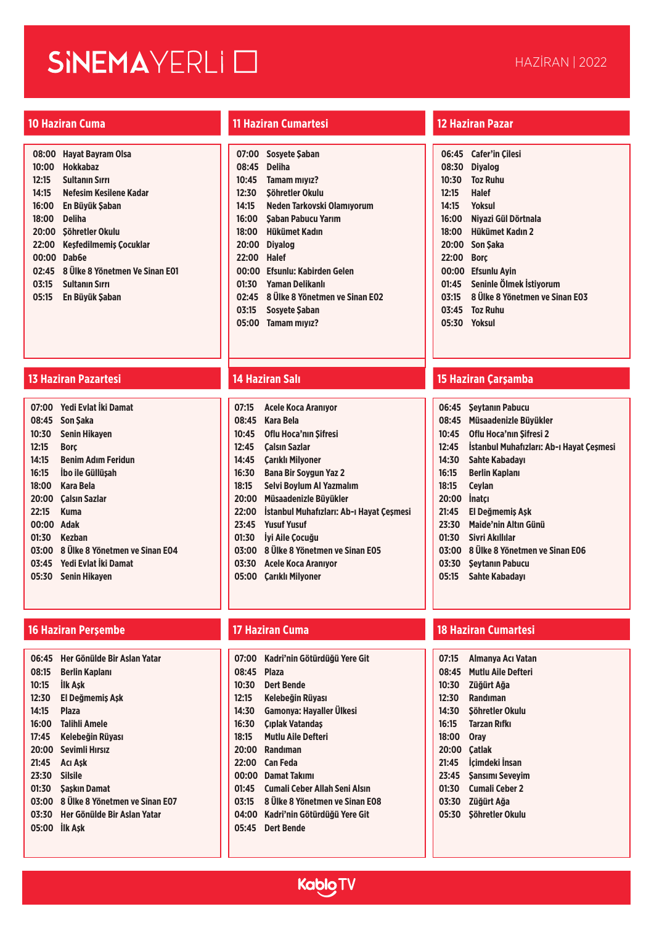# SINEMAYERLI O

| 08:00 | <b>Havat Bavram Olsa</b>       |
|-------|--------------------------------|
| 10:00 | Hokkabaz                       |
| 12:15 | <b>Sultanin Sirri</b>          |
| 14:15 | Nefesim Kesilene Kadar         |
| 16:00 | En Büyük Şaban                 |
| 18:00 | <b>Deliha</b>                  |
| 20:00 | Söhretler Okulu                |
| 22:00 | Kesfedilmemis Cocuklar         |
| 00:00 | Dab <sub>6e</sub>              |
| 02:45 | 8 Ülke 8 Yönetmen Ve Sinan E01 |
| 03:15 | <b>Sultanın Sırrı</b>          |
| 05:15 | En Büvük Saban                 |

### **13 Haziran Pazartesi 14 Haziran Salı 15 Haziran Çarşamba**

| Yedi Evlat İki Damat                 |
|--------------------------------------|
| 08:45 Son Saka                       |
| Senin Hikaven                        |
| <b>Borc</b>                          |
| <b>Benim Adım Feridun</b>            |
| Ibo ile Güllüşah                     |
| 18:00<br><b>Kara Bela</b>            |
| 20:00<br>Calsın Sazlar               |
| Kuma                                 |
| 00:00<br><b>Adak</b>                 |
| 01:30 Kezban                         |
| 03:00 8 Ülke 8 Yönetmen ve Sinan E04 |
| Yedi Evlat İki Damat<br>03:45        |
| Senin Hikaven                        |
|                                      |

### **16 Haziran Perşembe 17 Haziran Cuma 18 Haziran Cumartesi**

| 06:45 | Her Gönülde Bir Aslan Yatar    |
|-------|--------------------------------|
| 08:15 | Berlin Kaplanı                 |
| 10:15 | <b>İlk Ask</b>                 |
| 12:30 | El Değmemis Ask                |
| 14:15 | <b>Plaza</b>                   |
| 16:00 | Talihli Amele                  |
| 17:45 | Kelebeğin Rüyası               |
| 20:00 | Sevimli Hırsız                 |
| 21:45 | Acı Ask                        |
| 23:30 | <b>Silsile</b>                 |
| 01:30 | <b>Saskin Damat</b>            |
| 03:00 | 8 Ülke 8 Yönetmen ve Sinan E07 |
| 03:30 | Her Gönülde Bir Aslan Yatar    |
| 05:00 | <b>IIk Ask</b>                 |
|       |                                |

### **10 Haziran Cuma 11 Haziran Cumartesi 12 Haziran Pazar**

| 07:00 | <b>Sosvete Saban</b>           |
|-------|--------------------------------|
| 08:45 | <b>Deliha</b>                  |
| 10:45 | <b>Tamam miviz?</b>            |
| 12:30 | Söhretler Okulu                |
| 14:15 | Neden Tarkovski Olamıyorum     |
| 16:00 | Saban Pabucu Yarım             |
| 18:00 | Hükümet Kadın                  |
| 20:00 | <b>Diyalog</b>                 |
| 22:00 | Halef                          |
| 00:00 | Efsunlu: Kabirden Gelen        |
| 01:30 | Yaman Delikanlı                |
| 02:45 | 8 Ülke 8 Yönetmen ve Sinan E02 |
| 03:15 | <b>Sosvete Saban</b>           |
| 05:00 | <b>Tamam miviz?</b>            |

| 07:15 | Acele Koca Aranıvor                      |
|-------|------------------------------------------|
| 08:45 | Kara Bela                                |
| 10:45 | <b>Oflu Hoca'nın Sifresi</b>             |
| 12:45 | Calsın Sazlar                            |
| 14:45 | Carıklı Milvoner                         |
| 16:30 | <b>Bana Bir Sovgun Yaz 2</b>             |
| 18:15 | Selvi Bovlum Al Yazmalım                 |
| 20:00 | Müsaadenizle Büyükler                    |
| 22:00 | İstanbul Muhafızları: Ab-ı Havat Cesmesi |
| 23:45 | <b>Yusuf Yusuf</b>                       |
| 01:30 | lyi Aile Cocuğu                          |
| 03:00 | 8 Ülke 8 Yönetmen ve Sinan E05           |
| 03:30 | Acele Koca Aranıyor                      |
| 05:00 | <b>Carikli Milyoner</b>                  |
|       |                                          |

- **07:00 Kadri'nin Götürdüğü Yere Git**
- **08:45 Plaza**
- **10:30 Dert Bende**
- **12:15 Kelebeğin Rüyası**
- **14:30 Gamonya: Hayaller Ülkesi**
- **16:30 Çıplak Vatandaş**
- **18:15 Mutlu Aile Defteri**
- **20:00 Randıman**
- **22:00 Can Feda**
- **00:00 Damat Takımı**
- **01:45 Cumali Ceber Allah Seni Alsın**
- **03:15 8 Ülke 8 Yönetmen ve Sinan E08**
- **04:00 Kadri'nin Götürdüğü Yere Git**
- **05:45 Dert Bende**

| 06:45 | <b>Cafer'in Cilesi</b>         |
|-------|--------------------------------|
| 08:30 | <b>Diyalog</b>                 |
| 10:30 | <b>Toz Ruhu</b>                |
| 12:15 | <b>Halef</b>                   |
| 14:15 | Yoksul                         |
| 16:00 | Niyazi Gül Dörtnala            |
| 18:00 | Hükümet Kadın 2                |
| 20:00 | <b>Son Saka</b>                |
| 22:00 | <b>Borc</b>                    |
| 00:00 | <b>Efsunlu Ayin</b>            |
| 01:45 | Seninle Ölmek İstiyorum        |
| 03:15 | 8 Ülke 8 Yönetmen ve Sinan E03 |
| 03:45 | <b>Toz Ruhu</b>                |
| 05:30 | <b>Yoksul</b>                  |

| 06:45 | <b>Seytanın Pabucu</b>                   |
|-------|------------------------------------------|
| 08:45 | Müsaadenizle Büyükler                    |
| 10:45 | Oflu Hoca'nın Sifresi 2                  |
| 12:45 | Istanbul Muhafızları: Ab-ı Havat Cesmesi |
| 14:30 | Sahte Kabadayı                           |
| 16:15 | Berlin Kaplanı                           |
| 18:15 | <b>Cevlan</b>                            |
| 20:00 | <b>Inatci</b>                            |
| 21:45 | El Değmemis Ask                          |
| 23:30 | Maide'nin Altın Günü                     |
| 01:30 | Sivri Akıllılar                          |
| 03:00 | 8 Ulke 8 Yönetmen ve Sinan E06           |
| 03:30 | Seytanın Pabucu                          |
| 05:15 | Sahte Kabadavı                           |
|       |                                          |

- **07:15 Almanya Acı Vatan 08:45 Mutlu Aile Defteri 10:30 Züğürt Ağa**
- **12:30 Randıman**
- **14:30 Şöhretler Okulu**
- **16:15 Tarzan Rıfkı**
- **18:00 Oray**
- **20:00 Çatlak**
- **21:45 İçimdeki İnsan**
- **23:45 Şansımı Seveyim**
- **01:30 Cumali Ceber 2**
- **03:30 Züğürt Ağa**
- **05:30 Şöhretler Okulu**

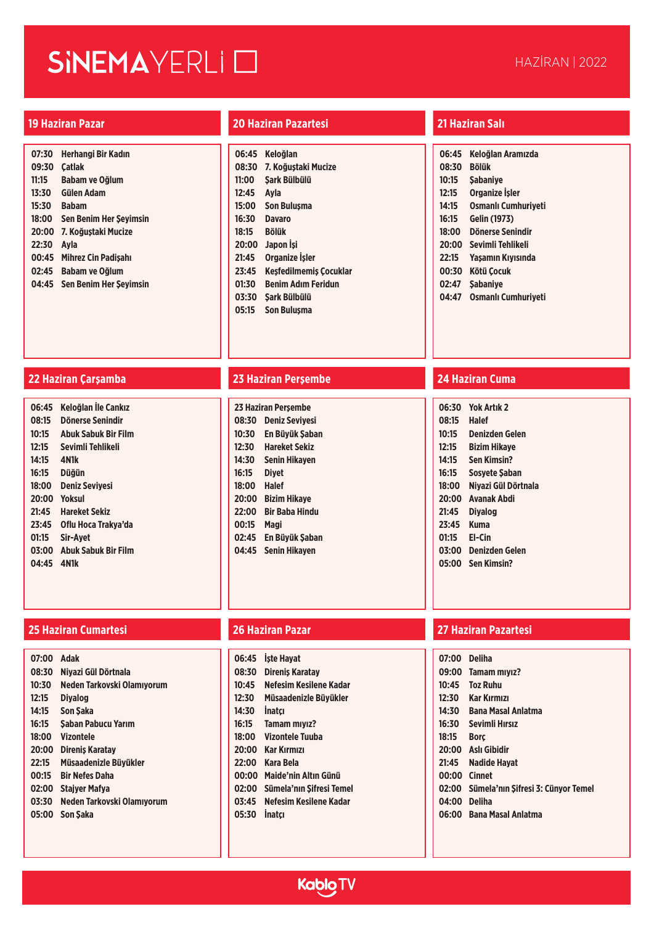# SINEMAYERLI O

| 07:30 | Herhangi Bir Kadın            |
|-------|-------------------------------|
| 09:30 | <b>Catlak</b>                 |
| 11:15 | Babam ve Oğlum                |
| 13:30 | Gülen Adam                    |
| 15:30 | <b>Baham</b>                  |
| 18:00 | <b>Sen Benim Her Seyimsin</b> |
| 20:00 | 7. Koğustaki Mucize           |
| 22:30 | Avla                          |
| 00:45 | Mihrez Cin Padisahı           |
| 02:45 | Babam ve Oğlum                |
| 04:45 | Sen Benim Her Seyimsin        |
|       |                               |

### **19 Haziran Pazar 20 Haziran Pazartesi 21 Haziran Salı**

| 06:45 | Keloğlan                      |
|-------|-------------------------------|
| 08:30 | 7. Koğustaki Mucize           |
| 11:00 | Sark Bülbülü                  |
| 12:45 | Avla                          |
| 15:00 | <b>Son Bulusma</b>            |
| 16:30 | Davaro                        |
| 18:15 | <b>Bölük</b>                  |
| 20:00 | Japon Isi                     |
| 21:45 | <b>Organize İşler</b>         |
| 23:45 | <b>Kesfedilmemis Cocuklar</b> |
| 01:30 | <b>Benim Adım Feridun</b>     |
| 03:30 | Sark Bülbülü                  |
| 05:15 | Son Bulusma                   |

| 06:45 | Keloğlan Aramızda          |
|-------|----------------------------|
| 08:30 | <b>Bölük</b>               |
| 10:15 | <b>Sabanive</b>            |
| 12:15 | Organize İşler             |
| 14:15 | <b>Osmanlı Cumhuriveti</b> |
| 16:15 | <b>Gelin (1973)</b>        |
| 18:00 | Dönerse Senindir           |
| 20:00 | Sevimli Tehlikeli          |
| 22:15 | Yaşamın Kıyısında          |
| 00:30 | Kötü Çocuk                 |
| 02:47 | <b>Sabanive</b>            |
| 04:47 | Osmanlı Cumhuriveti        |

| 06:45 | Keloğlan İle Cankız        |
|-------|----------------------------|
| 08:15 | Dönerse Senindir           |
| 10:15 | <b>Abuk Sabuk Bir Film</b> |
| 12:15 | Sevimli Tehlikeli          |
| 14:15 | 4N1k                       |
| 16:15 | <b>Düğün</b>               |
| 18:00 | <b>Deniz Sevivesi</b>      |
| 20:00 | <b>Yoksul</b>              |
| 21:45 | <b>Hareket Sekiz</b>       |
| 23:45 | Oflu Hoca Trakva'da        |
| 01:15 | Sir-Avet                   |
| 03:00 | <b>Abuk Sabuk Bir Film</b> |
| 04:45 | 4N1k                       |
|       |                            |

### **25 Haziran Cumartesi 26 Haziran Pazar 27 Haziran Pazartesi**

| 07:00 | Adak                       |
|-------|----------------------------|
| 08:30 | Niyazi Gül Dörtnala        |
| 10:30 | Neden Tarkovski Olamıyorum |
| 12:15 | <b>Divalog</b>             |
| 14:15 | Son Saka                   |
| 16:15 | Saban Pabucu Yarım         |
| 18:00 | Vizontele                  |
| 20:00 | Direnis Karatav            |
| 22:15 | Müsaadenizle Büvükler      |
| 00:15 | <b>Bir Nefes Daha</b>      |
| 02:00 | Staiver Mafva              |
| 03:30 | Neden Tarkovski Olamıyorum |
| 05:00 | Son Saka                   |
|       |                            |

### **22 Haziran Çarşamba 23 Haziran Perşembe 24 Haziran Cuma**

| 23 Haziran Perşembe |                       |  |
|---------------------|-----------------------|--|
| 08:30               | <b>Deniz Seviyesi</b> |  |
| 10:30               | En Büyük Şaban        |  |
| 12:30               | <b>Hareket Sekiz</b>  |  |
| 14:30               | Senin Hikaven         |  |
| 16:15               | Divet                 |  |
| 18:00               | <b>Halef</b>          |  |
| 20:00               | <b>Bizim Hikaye</b>   |  |
| 22:00               | Bir Baba Hindu        |  |
| 00:15               | Magi                  |  |
| 02:45               | En Büyük Şaban        |  |
| 04:45               | Senin Hikaven         |  |
|                     |                       |  |

| 06:30 | <b>Yok Artik 2</b>    |
|-------|-----------------------|
| 08:15 | Halef                 |
| 10:15 | Denizden Gelen        |
| 12:15 | <b>Bizim Hikaye</b>   |
| 14:15 | <b>Sen Kimsin?</b>    |
| 16:15 | Sosyete Şaban         |
| 18:00 | Nivazi Gül Dörtnala   |
| 20:00 | <b>Avanak Abdi</b>    |
| 21:45 | <b>Divalog</b>        |
| 23:45 | Kuma                  |
| 01:15 | El-Cin                |
| 03:00 | <b>Denizden Gelen</b> |
| 05:00 | <b>Sen Kimsin?</b>    |

| 06:45 | <b>Iste Havat</b>        |
|-------|--------------------------|
| 08:30 | <b>Direnis Karatay</b>   |
| 10:45 | Nefesim Kesilene Kadar   |
| 12:30 | Müsaadenizle Büvükler    |
| 14:30 | Inatcı                   |
| 16:15 | <b>Tamam miviz?</b>      |
| 18:00 | Vizontele Tuuba          |
| 20:00 | Kar Kırmızı              |
| 22:00 | Kara Bela                |
| 00:00 | Maide'nin Altın Günü     |
| 02:00 | Sümela'nın Şifresi Temel |
| 03:45 | Nefesim Kesilene Kadar   |
| 05:30 | Inatcı                   |
|       |                          |

|       | 07:00 Deliha                             |
|-------|------------------------------------------|
|       | 09:00 Tamam miyiz?                       |
| 10:45 | <b>Toz Ruhu</b>                          |
| 12:30 | <b>Kar Kırmızı</b>                       |
| 14:30 | <b>Bana Masal Anlatma</b>                |
|       | 16:30 Sevimli Hırsız                     |
| 18:15 | <b>Borc</b>                              |
|       | 20:00 Aslı Gibidir                       |
|       | 21:45 Nadide Hayat                       |
|       | 00:00 Cinnet                             |
|       | 02:00 Sümela'nın Şifresi 3: Cünyor Temel |
|       | 04:00 Deliha                             |
|       | 06:00 Bana Masal Anlatma                 |
|       |                                          |